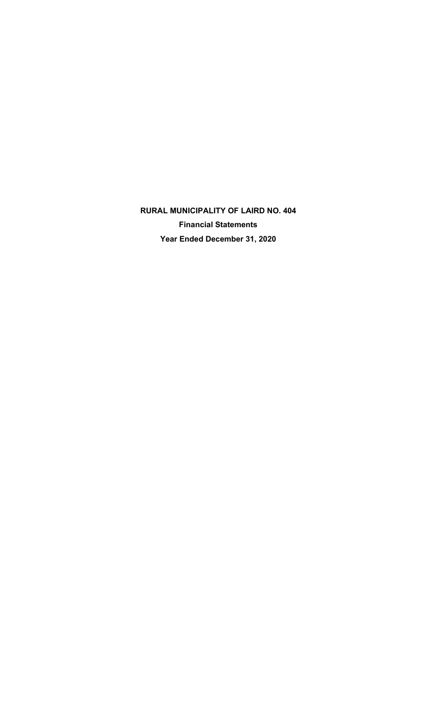**RURAL MUNICIPALITY OF LAIRD NO. 404 Financial Statements Year Ended December 31, 2020**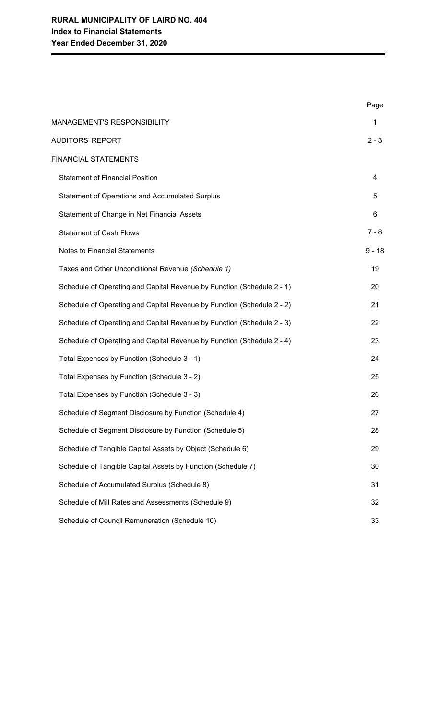|                                                                        | Page     |
|------------------------------------------------------------------------|----------|
| MANAGEMENT'S RESPONSIBILITY                                            | 1        |
| <b>AUDITORS' REPORT</b>                                                | $2 - 3$  |
| FINANCIAL STATEMENTS                                                   |          |
| <b>Statement of Financial Position</b>                                 | 4        |
| <b>Statement of Operations and Accumulated Surplus</b>                 | 5        |
| Statement of Change in Net Financial Assets                            | 6        |
| <b>Statement of Cash Flows</b>                                         | $7 - 8$  |
| <b>Notes to Financial Statements</b>                                   | $9 - 18$ |
| Taxes and Other Unconditional Revenue (Schedule 1)                     | 19       |
| Schedule of Operating and Capital Revenue by Function (Schedule 2 - 1) | 20       |
| Schedule of Operating and Capital Revenue by Function (Schedule 2 - 2) | 21       |
| Schedule of Operating and Capital Revenue by Function (Schedule 2 - 3) | 22       |
| Schedule of Operating and Capital Revenue by Function (Schedule 2 - 4) | 23       |
| Total Expenses by Function (Schedule 3 - 1)                            | 24       |
| Total Expenses by Function (Schedule 3 - 2)                            | 25       |
| Total Expenses by Function (Schedule 3 - 3)                            | 26       |
| Schedule of Segment Disclosure by Function (Schedule 4)                | 27       |
| Schedule of Segment Disclosure by Function (Schedule 5)                | 28       |
| Schedule of Tangible Capital Assets by Object (Schedule 6)             | 29       |
| Schedule of Tangible Capital Assets by Function (Schedule 7)           | 30       |
| Schedule of Accumulated Surplus (Schedule 8)                           | 31       |
| Schedule of Mill Rates and Assessments (Schedule 9)                    | 32       |
| Schedule of Council Remuneration (Schedule 10)                         | 33       |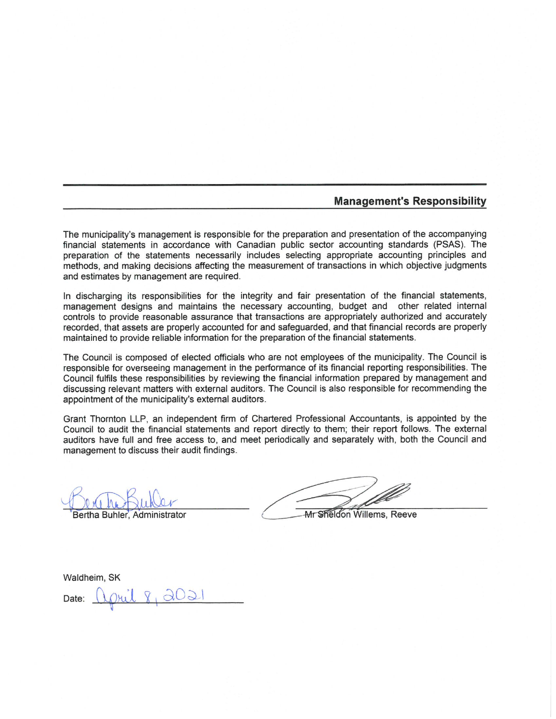## **Management's Responsibility**

The municipality's management is responsible for the preparation and presentation of the accompanying financial statements in accordance with Canadian public sector accounting standards (PSAS). The preparation of the statements necessarily includes selecting appropriate accounting principles and methods, and making decisions affecting the measurement of transactions in which objective judgments and estimates by management are required.

In discharging its responsibilities for the integrity and fair presentation of the financial statements, management designs and maintains the necessary accounting, budget and other related internal controls to provide reasonable assurance that transactions are appropriately authorized and accurately recorded, that assets are properly accounted for and safeguarded, and that financial records are properly maintained to provide reliable information for the preparation of the financial statements.

The Council is composed of elected officials who are not employees of the municipality. The Council is responsible for overseeing management in the performance of its financial reporting responsibilities. The Council fulfils these responsibilities by reviewing the financial information prepared by management and discussing relevant matters with external auditors. The Council is also responsible for recommending the appointment of the municipality's external auditors.

Grant Thornton LLP, an independent firm of Chartered Professional Accountants, is appointed by the Council to audit the financial statements and report directly to them; their report follows. The external auditors have full and free access to, and meet periodically and separately with, both the Council and management to discuss their audit findings.

Bertha Buhler, Administrator

Mr Sheldon Willems, Reeve

Waldheim, SK Date: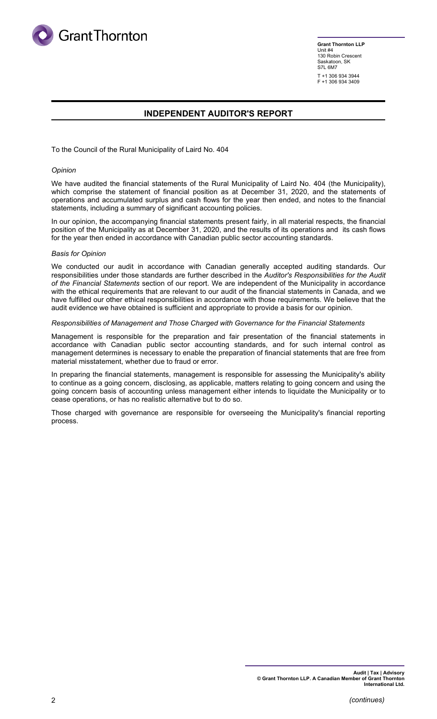

**Grant Thornton LLP** Unit #4 130 Robin Crescent Saskatoon, SK S7L 6M7 T +1 306 934 3944 F +1 306 934 3409

# **INDEPENDENT AUDITOR'S REPORT**

To the Council of the Rural Municipality of Laird No. 404

#### *Opinion*

We have audited the financial statements of the Rural Municipality of Laird No. 404 (the Municipality), which comprise the statement of financial position as at December 31, 2020, and the statements of operations and accumulated surplus and cash flows for the year then ended, and notes to the financial statements, including a summary of significant accounting policies.

In our opinion, the accompanying financial statements present fairly, in all material respects, the financial position of the Municipality as at December 31, 2020, and the results of its operations and its cash flows for the year then ended in accordance with Canadian public sector accounting standards.

#### *Basis for Opinion*

We conducted our audit in accordance with Canadian generally accepted auditing standards. Our responsibilities under those standards are further described in the *Auditor's Responsibilities for the Audit of the Financial Statements* section of our report. We are independent of the Municipality in accordance with the ethical requirements that are relevant to our audit of the financial statements in Canada, and we have fulfilled our other ethical responsibilities in accordance with those requirements. We believe that the audit evidence we have obtained is sufficient and appropriate to provide a basis for our opinion.

#### *Responsibilities of Management and Those Charged with Governance for the Financial Statements*

Management is responsible for the preparation and fair presentation of the financial statements in accordance with Canadian public sector accounting standards, and for such internal control as management determines is necessary to enable the preparation of financial statements that are free from material misstatement, whether due to fraud or error.

In preparing the financial statements, management is responsible for assessing the Municipality's ability to continue as a going concern, disclosing, as applicable, matters relating to going concern and using the going concern basis of accounting unless management either intends to liquidate the Municipality or to cease operations, or has no realistic alternative but to do so.

Those charged with governance are responsible for overseeing the Municipality's financial reporting process.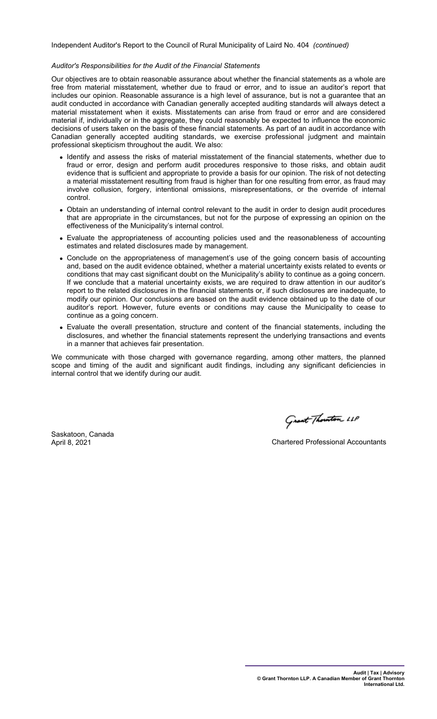Independent Auditor's Report to the Council of Rural Municipality of Laird No. 404 *(continued)*

#### *Auditor's Responsibilities for the Audit of the Financial Statements*

Our objectives are to obtain reasonable assurance about whether the financial statements as a whole are free from material misstatement, whether due to fraud or error, and to issue an auditor's report that includes our opinion. Reasonable assurance is a high level of assurance, but is not a guarantee that an audit conducted in accordance with Canadian generally accepted auditing standards will always detect a material misstatement when it exists. Misstatements can arise from fraud or error and are considered material if, individually or in the aggregate, they could reasonably be expected to influence the economic decisions of users taken on the basis of these financial statements. As part of an audit in accordance with Canadian generally accepted auditing standards, we exercise professional judgment and maintain professional skepticism throughout the audit. We also:

- Identify and assess the risks of material misstatement of the financial statements, whether due to fraud or error, design and perform audit procedures responsive to those risks, and obtain audit evidence that is sufficient and appropriate to provide a basis for our opinion. The risk of not detecting a material misstatement resulting from fraud is higher than for one resulting from error, as fraud may involve collusion, forgery, intentional omissions, misrepresentations, or the override of internal control.
- Obtain an understanding of internal control relevant to the audit in order to design audit procedures that are appropriate in the circumstances, but not for the purpose of expressing an opinion on the effectiveness of the Municipality's internal control.
- Evaluate the appropriateness of accounting policies used and the reasonableness of accounting estimates and related disclosures made by management.
- Conclude on the appropriateness of management's use of the going concern basis of accounting and, based on the audit evidence obtained, whether a material uncertainty exists related to events or conditions that may cast significant doubt on the Municipality's ability to continue as a going concern. If we conclude that a material uncertainty exists, we are required to draw attention in our auditor's report to the related disclosures in the financial statements or, if such disclosures are inadequate, to modify our opinion. Our conclusions are based on the audit evidence obtained up to the date of our auditor's report. However, future events or conditions may cause the Municipality to cease to continue as a going concern.
- Evaluate the overall presentation, structure and content of the financial statements, including the disclosures, and whether the financial statements represent the underlying transactions and events in a manner that achieves fair presentation.

We communicate with those charged with governance regarding, among other matters, the planned scope and timing of the audit and significant audit findings, including any significant deficiencies in internal control that we identify during our audit.

Saskatoon, Canada

Grant Thouston LLP

April 8, 2021 **Chartered Professional Accountants**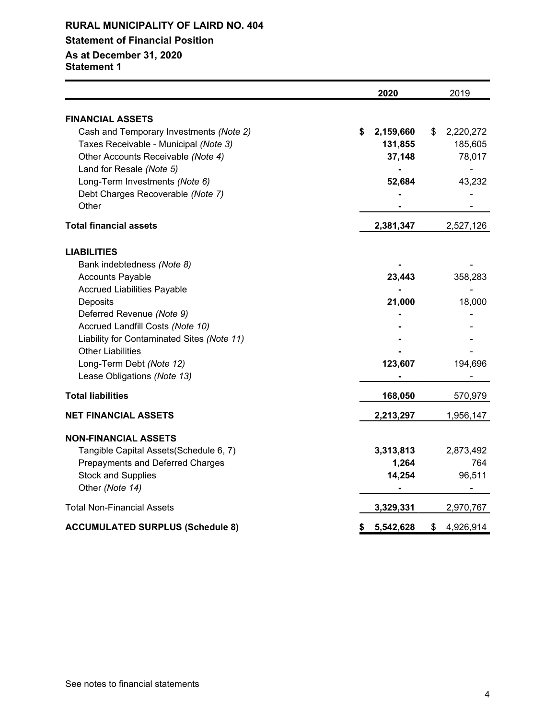# **RURAL MUNICIPALITY OF LAIRD NO. 404 Statement of Financial Position**

# **As at December 31, 2020**

**Statement 1**

|                                                                       | 2020            | 2019            |
|-----------------------------------------------------------------------|-----------------|-----------------|
|                                                                       |                 |                 |
| <b>FINANCIAL ASSETS</b>                                               |                 |                 |
| Cash and Temporary Investments (Note 2)                               | \$<br>2,159,660 | \$<br>2,220,272 |
| Taxes Receivable - Municipal (Note 3)                                 | 131,855         | 185,605         |
| Other Accounts Receivable (Note 4)                                    | 37,148          | 78,017          |
| Land for Resale (Note 5)                                              |                 |                 |
| Long-Term Investments (Note 6)                                        | 52,684          | 43,232          |
| Debt Charges Recoverable (Note 7)                                     |                 |                 |
| Other                                                                 |                 |                 |
| <b>Total financial assets</b>                                         | 2,381,347       | 2,527,126       |
| <b>LIABILITIES</b>                                                    |                 |                 |
| Bank indebtedness (Note 8)                                            |                 |                 |
| <b>Accounts Payable</b>                                               | 23,443          | 358,283         |
| <b>Accrued Liabilities Payable</b>                                    |                 |                 |
| Deposits                                                              | 21,000          | 18,000          |
| Deferred Revenue (Note 9)                                             |                 |                 |
| Accrued Landfill Costs (Note 10)                                      |                 |                 |
| Liability for Contaminated Sites (Note 11)                            |                 |                 |
| <b>Other Liabilities</b>                                              |                 |                 |
| Long-Term Debt (Note 12)                                              | 123,607         | 194,696         |
| Lease Obligations (Note 13)                                           |                 |                 |
| <b>Total liabilities</b>                                              | 168,050         | 570,979         |
| <b>NET FINANCIAL ASSETS</b>                                           | 2,213,297       | 1,956,147       |
|                                                                       |                 |                 |
| <b>NON-FINANCIAL ASSETS</b><br>Tangible Capital Assets(Schedule 6, 7) | 3,313,813       | 2,873,492       |
|                                                                       |                 |                 |
| Prepayments and Deferred Charges                                      | 1,264           | 764             |
| <b>Stock and Supplies</b><br>Other (Note 14)                          | 14,254          | 96,511          |
| <b>Total Non-Financial Assets</b>                                     | 3,329,331       | 2,970,767       |
| <b>ACCUMULATED SURPLUS (Schedule 8)</b>                               | \$<br>5,542,628 | \$<br>4,926,914 |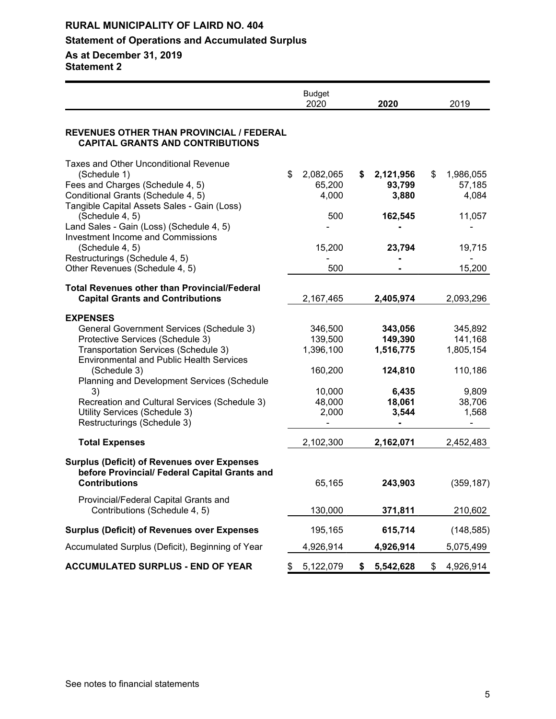## **Statement of Operations and Accumulated Surplus**

**As at December 31, 2019**

## **Statement 2**

|                                                                                                                                                                                                                                                                                                                                                   | <b>Budget</b><br>2020                                                   | 2020                                                                   | 2019                                                                   |
|---------------------------------------------------------------------------------------------------------------------------------------------------------------------------------------------------------------------------------------------------------------------------------------------------------------------------------------------------|-------------------------------------------------------------------------|------------------------------------------------------------------------|------------------------------------------------------------------------|
| <b>REVENUES OTHER THAN PROVINCIAL / FEDERAL</b><br><b>CAPITAL GRANTS AND CONTRIBUTIONS</b>                                                                                                                                                                                                                                                        |                                                                         |                                                                        |                                                                        |
| Taxes and Other Unconditional Revenue<br>(Schedule 1)<br>Fees and Charges (Schedule 4, 5)<br>Conditional Grants (Schedule 4, 5)<br>Tangible Capital Assets Sales - Gain (Loss)                                                                                                                                                                    | \$<br>2,082,065<br>65,200<br>4,000                                      | \$<br>2,121,956<br>93,799<br>3,880                                     | \$<br>1,986,055<br>57,185<br>4,084                                     |
| (Schedule 4, 5)<br>Land Sales - Gain (Loss) (Schedule 4, 5)<br><b>Investment Income and Commissions</b>                                                                                                                                                                                                                                           | 500                                                                     | 162,545                                                                | 11,057                                                                 |
| (Schedule 4, 5)<br>Restructurings (Schedule 4, 5)<br>Other Revenues (Schedule 4, 5)                                                                                                                                                                                                                                                               | 15,200<br>500                                                           | 23,794                                                                 | 19,715<br>15,200                                                       |
| <b>Total Revenues other than Provincial/Federal</b><br><b>Capital Grants and Contributions</b>                                                                                                                                                                                                                                                    | 2,167,465                                                               | 2,405,974                                                              | 2,093,296                                                              |
| <b>EXPENSES</b><br>General Government Services (Schedule 3)<br>Protective Services (Schedule 3)<br>Transportation Services (Schedule 3)<br><b>Environmental and Public Health Services</b><br>(Schedule 3)<br>Planning and Development Services (Schedule<br>3)<br>Recreation and Cultural Services (Schedule 3)<br>Utility Services (Schedule 3) | 346,500<br>139,500<br>1,396,100<br>160,200<br>10,000<br>48,000<br>2,000 | 343,056<br>149,390<br>1,516,775<br>124,810<br>6,435<br>18,061<br>3,544 | 345,892<br>141,168<br>1,805,154<br>110,186<br>9,809<br>38,706<br>1,568 |
| Restructurings (Schedule 3)<br><b>Total Expenses</b>                                                                                                                                                                                                                                                                                              | 2,102,300                                                               | 2,162,071                                                              | 2,452,483                                                              |
| <b>Surplus (Deficit) of Revenues over Expenses</b><br>before Provincial/ Federal Capital Grants and<br><b>Contributions</b>                                                                                                                                                                                                                       | 65,165                                                                  | 243,903                                                                | (359, 187)                                                             |
| Provincial/Federal Capital Grants and<br>Contributions (Schedule 4, 5)                                                                                                                                                                                                                                                                            | 130,000                                                                 | 371,811                                                                | 210,602                                                                |
| <b>Surplus (Deficit) of Revenues over Expenses</b>                                                                                                                                                                                                                                                                                                | 195,165                                                                 | 615,714                                                                | (148, 585)                                                             |
| Accumulated Surplus (Deficit), Beginning of Year                                                                                                                                                                                                                                                                                                  | 4,926,914                                                               | 4,926,914                                                              | 5,075,499                                                              |
| <b>ACCUMULATED SURPLUS - END OF YEAR</b>                                                                                                                                                                                                                                                                                                          | 5,122,079<br>\$                                                         | 5,542,628<br>\$                                                        | \$<br>4,926,914                                                        |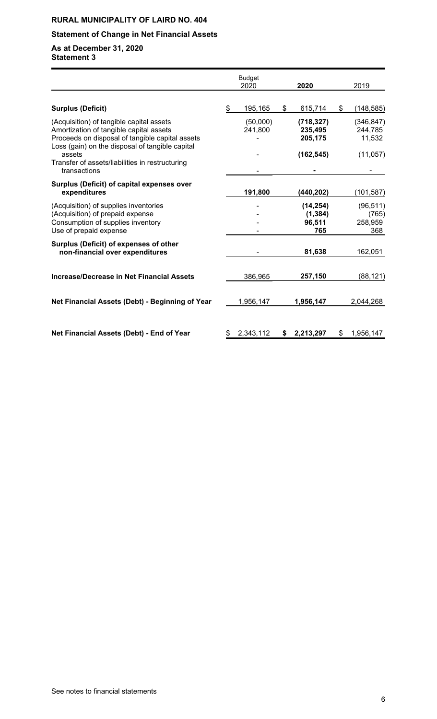# **Statement of Change in Net Financial Assets**

## **As at December 31, 2020 Statement 3**

|                                                                                                                                                                                                                                                                        | <b>Budget</b><br>2020 | 2020                                           | 2019                                         |
|------------------------------------------------------------------------------------------------------------------------------------------------------------------------------------------------------------------------------------------------------------------------|-----------------------|------------------------------------------------|----------------------------------------------|
| <b>Surplus (Deficit)</b>                                                                                                                                                                                                                                               | \$<br>195,165         | \$<br>615,714                                  | \$<br>(148, 585)                             |
| (Acquisition) of tangible capital assets<br>Amortization of tangible capital assets<br>Proceeds on disposal of tangible capital assets<br>Loss (gain) on the disposal of tangible capital<br>assets<br>Transfer of assets/liabilities in restructuring<br>transactions | (50,000)<br>241,800   | (718, 327)<br>235,495<br>205,175<br>(162, 545) | (346, 847)<br>244,785<br>11,532<br>(11, 057) |
| Surplus (Deficit) of capital expenses over<br>expenditures                                                                                                                                                                                                             | 191,800               | (440, 202)                                     | (101, 587)                                   |
| (Acquisition) of supplies inventories<br>(Acquisition) of prepaid expense<br>Consumption of supplies inventory<br>Use of prepaid expense                                                                                                                               |                       | (14, 254)<br>(1, 384)<br>96,511<br>765         | (96, 511)<br>(765)<br>258,959<br>368         |
| Surplus (Deficit) of expenses of other<br>non-financial over expenditures                                                                                                                                                                                              |                       | 81,638                                         | 162,051                                      |
| <b>Increase/Decrease in Net Financial Assets</b>                                                                                                                                                                                                                       | 386,965               | 257,150                                        | (88, 121)                                    |
| Net Financial Assets (Debt) - Beginning of Year                                                                                                                                                                                                                        | 1,956,147             | 1,956,147                                      | 2,044,268                                    |
| Net Financial Assets (Debt) - End of Year                                                                                                                                                                                                                              | \$<br>2,343,112       | \$2,213,297                                    | \$<br>1,956,147                              |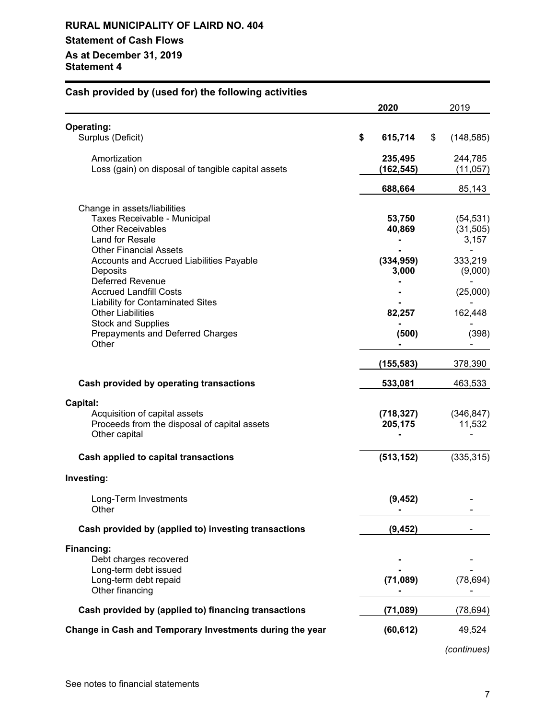| Cash provided by (used for) the following activities                                                        |                       |                                 |
|-------------------------------------------------------------------------------------------------------------|-----------------------|---------------------------------|
|                                                                                                             | 2020                  | 2019                            |
| Operating:                                                                                                  |                       |                                 |
| Surplus (Deficit)                                                                                           | \$<br>615,714         | \$<br>(148, 585)                |
| Amortization<br>Loss (gain) on disposal of tangible capital assets                                          | 235,495<br>(162,545)  | 244,785<br>(11, 057)            |
|                                                                                                             | 688,664               | 85,143                          |
| Change in assets/liabilities<br>Taxes Receivable - Municipal<br><b>Other Receivables</b><br>Land for Resale | 53,750<br>40,869      | (54, 531)<br>(31, 505)<br>3,157 |
| <b>Other Financial Assets</b><br>Accounts and Accrued Liabilities Payable<br>Deposits                       | (334, 959)<br>3,000   | 333,219<br>(9,000)              |
| <b>Deferred Revenue</b><br><b>Accrued Landfill Costs</b><br><b>Liability for Contaminated Sites</b>         |                       | (25,000)                        |
| <b>Other Liabilities</b>                                                                                    | 82,257                | 162,448                         |
| <b>Stock and Supplies</b><br>Prepayments and Deferred Charges<br>Other                                      | (500)                 | (398)                           |
|                                                                                                             | (155,583)             | 378,390                         |
| Cash provided by operating transactions                                                                     | 533,081               | 463,533                         |
| Capital:                                                                                                    |                       |                                 |
| Acquisition of capital assets<br>Proceeds from the disposal of capital assets<br>Other capital              | (718, 327)<br>205,175 | (346, 847)<br>11,532            |
| Cash applied to capital transactions                                                                        | (513, 152)            | (335, 315)                      |
| Investing:                                                                                                  |                       |                                 |
| Long-Term Investments<br>Other                                                                              | (9, 452)              |                                 |
| Cash provided by (applied to) investing transactions                                                        | (9, 452)              |                                 |
| Financing:<br>Debt charges recovered                                                                        |                       |                                 |
| Long-term debt issued<br>Long-term debt repaid<br>Other financing                                           | (71,089)              | (78, 694)                       |
| Cash provided by (applied to) financing transactions                                                        | (71, 089)             | (78, 694)                       |
| Change in Cash and Temporary Investments during the year                                                    | (60, 612)             | 49,524                          |
|                                                                                                             |                       | (continues)                     |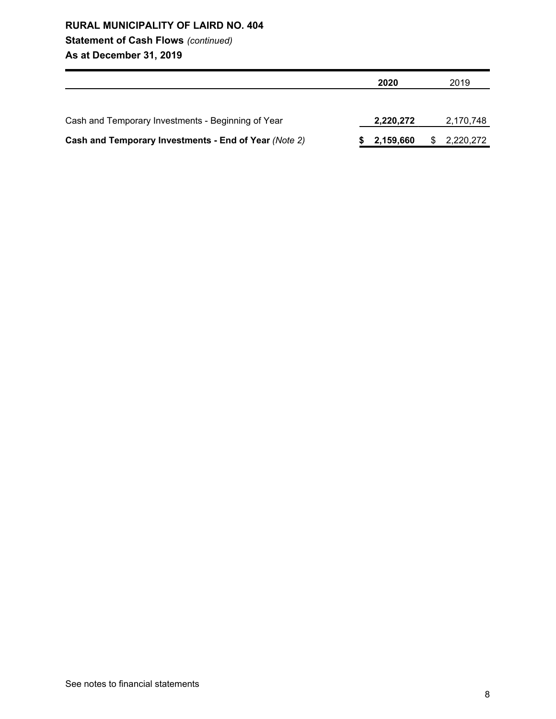# **Statement of Cash Flows** *(continued)*

**As at December 31, 2019**

|                                                       | 2020      |    | 2019      |
|-------------------------------------------------------|-----------|----|-----------|
|                                                       |           |    |           |
| Cash and Temporary Investments - Beginning of Year    | 2,220,272 |    | 2,170,748 |
| Cash and Temporary Investments - End of Year (Note 2) | 2,159,660 | S. | 2,220,272 |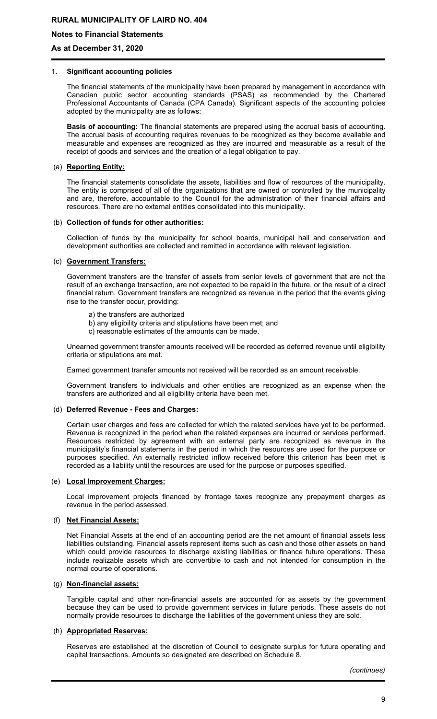## **Notes to Financial Statements**

**As at December 31, 2020**

#### 1. **Significant accounting policies**

The financial statements of the municipality have been prepared by management in accordance with Canadian public sector accounting standards (PSAS) as recommended by the Chartered Professional Accountants of Canada (CPA Canada). Significant aspects of the accounting policies adopted by the municipality are as follows:

**Basis of accounting:** The financial statements are prepared using the accrual basis of accounting. The accrual basis of accounting requires revenues to be recognized as they become available and measurable and expenses are recognized as they are incurred and measurable as a result of the receipt of goods and services and the creation of a legal obligation to pay.

## (a) **Reporting Entity:**

The financial statements consolidate the assets, liabilities and flow of resources of the municipality. The entity is comprised of all of the organizations that are owned or controlled by the municipality and are, therefore, accountable to the Council for the administration of their financial affairs and resources. There are no external entities consolidated into this municipality.

#### (b) **Collection of funds for other authorities:**

Collection of funds by the municipality for school boards, municipal hail and conservation and development authorities are collected and remitted in accordance with relevant legislation.

## (c) **Government Transfers:**

Government transfers are the transfer of assets from senior levels of government that are not the result of an exchange transaction, are not expected to be repaid in the future, or the result of a direct financial return. Government transfers are recognized as revenue in the period that the events giving rise to the transfer occur, providing:

- a) the transfers are authorized
- b) any eligibility criteria and stipulations have been met; and
- c) reasonable estimates of the amounts can be made.

Unearned government transfer amounts received will be recorded as deferred revenue until eligibility criteria or stipulations are met.

Earned government transfer amounts not received will be recorded as an amount receivable.

Government transfers to individuals and other entities are recognized as an expense when the transfers are authorized and all eligibility criteria have been met.

## (d) **Deferred Revenue - Fees and Charges:**

Certain user charges and fees are collected for which the related services have yet to be performed. Revenue is recognized in the period when the related expenses are incurred or services performed. Resources restricted by agreement with an external party are recognized as revenue in the municipality's financial statements in the period in which the resources are used for the purpose or purposes specified. An externally restricted inflow received before this criterion has been met is recorded as a liability until the resources are used for the purpose or purposes specified.

#### (e) **Local Improvement Charges:**

Local improvement projects financed by frontage taxes recognize any prepayment charges as revenue in the period assessed.

## (f) **Net Financial Assets:**

Net Financial Assets at the end of an accounting period are the net amount of financial assets less liabilities outstanding. Financial assets represent items such as cash and those other assets on hand which could provide resources to discharge existing liabilities or finance future operations. These include realizable assets which are convertible to cash and not intended for consumption in the normal course of operations.

#### (g) **Non-financial assets:**

Tangible capital and other non-financial assets are accounted for as assets by the government because they can be used to provide government services in future periods. These assets do not normally provide resources to discharge the liabilities of the government unless they are sold.

# (h) **Appropriated Reserves:**

Reserves are established at the discretion of Council to designate surplus for future operating and capital transactions. Amounts so designated are described on Schedule 8.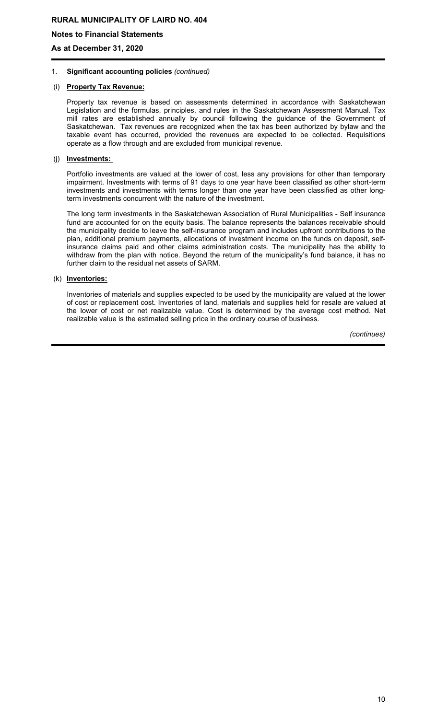## **Notes to Financial Statements**

**As at December 31, 2020**

#### 1. **Significant accounting policies** *(continued)*

## (i) **Property Tax Revenue:**

Property tax revenue is based on assessments determined in accordance with Saskatchewan Legislation and the formulas, principles, and rules in the Saskatchewan Assessment Manual. Tax mill rates are established annually by council following the guidance of the Government of Saskatchewan. Tax revenues are recognized when the tax has been authorized by bylaw and the taxable event has occurred, provided the revenues are expected to be collected. Requisitions operate as a flow through and are excluded from municipal revenue.

#### (j) **Investments:**

Portfolio investments are valued at the lower of cost, less any provisions for other than temporary impairment. Investments with terms of 91 days to one year have been classified as other short-term investments and investments with terms longer than one year have been classified as other longterm investments concurrent with the nature of the investment.

The long term investments in the Saskatchewan Association of Rural Municipalities - Self insurance fund are accounted for on the equity basis. The balance represents the balances receivable should the municipality decide to leave the self-insurance program and includes upfront contributions to the plan, additional premium payments, allocations of investment income on the funds on deposit, selfinsurance claims paid and other claims administration costs. The municipality has the ability to withdraw from the plan with notice. Beyond the return of the municipality's fund balance, it has no further claim to the residual net assets of SARM.

#### (k) **Inventories:**

Inventories of materials and supplies expected to be used by the municipality are valued at the lower of cost or replacement cost. Inventories of land, materials and supplies held for resale are valued at the lower of cost or net realizable value. Cost is determined by the average cost method. Net realizable value is the estimated selling price in the ordinary course of business.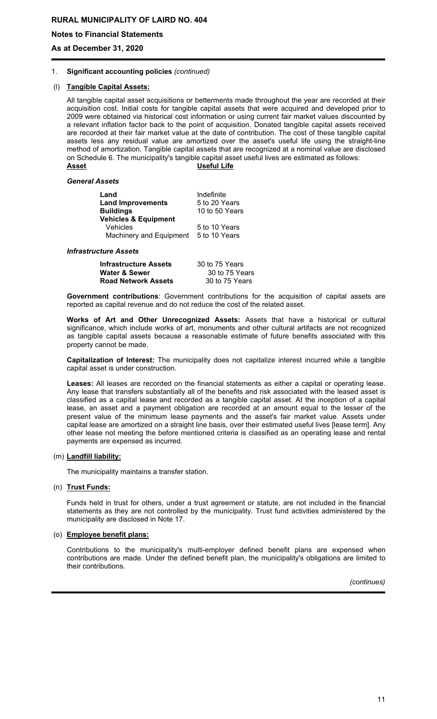**Notes to Financial Statements**

**As at December 31, 2020**

#### 1. **Significant accounting policies** *(continued)*

## (l) **Tangible Capital Assets:**

All tangible capital asset acquisitions or betterments made throughout the year are recorded at their acquisition cost. Initial costs for tangible capital assets that were acquired and developed prior to 2009 were obtained via historical cost information or using current fair market values discounted by a relevant inflation factor back to the point of acquisition. Donated tangible capital assets received are recorded at their fair market value at the date of contribution. The cost of these tangible capital assets less any residual value are amortized over the asset's useful life using the straight-line method of amortization. Tangible capital assets that are recognized at a nominal value are disclosed on Schedule 6. The municipality's tangible capital asset useful lives are estimated as follows: **Asset Useful Life**

#### *General Assets*

| Land                            | Indefinite     |
|---------------------------------|----------------|
| <b>Land Improvements</b>        | 5 to 20 Years  |
| <b>Buildings</b>                | 10 to 50 Years |
| <b>Vehicles &amp; Equipment</b> |                |
| Vehicles                        | 5 to 10 Years  |
| Machinery and Equipment         | 5 to 10 Years  |

#### *Infrastructure Assets*

| <b>Infrastructure Assets</b> | 30 to 75 Years |
|------------------------------|----------------|
| <b>Water &amp; Sewer</b>     | 30 to 75 Years |
| <b>Road Network Assets</b>   | 30 to 75 Years |

**Government contributions**: Government contributions for the acquisition of capital assets are reported as capital revenue and do not reduce the cost of the related asset.

**Works of Art and Other Unrecognized Assets:** Assets that have a historical or cultural significance, which include works of art, monuments and other cultural artifacts are not recognized as tangible capital assets because a reasonable estimate of future benefits associated with this property cannot be made.

**Capitalization of Interest:** The municipality does not capitalize interest incurred while a tangible capital asset is under construction.

**Leases:** All leases are recorded on the financial statements as either a capital or operating lease. Any lease that transfers substantially all of the benefits and risk associated with the leased asset is classified as a capital lease and recorded as a tangible capital asset. At the inception of a capital lease, an asset and a payment obligation are recorded at an amount equal to the lesser of the present value of the minimum lease payments and the asset's fair market value. Assets under capital lease are amortized on a straight line basis, over their estimated useful lives [lease term]. Any other lease not meeting the before mentioned criteria is classified as an operating lease and rental payments are expensed as incurred.

#### (m) **Landfill liability:**

The municipality maintains a transfer station.

#### (n) **Trust Funds:**

Funds held in trust for others, under a trust agreement or statute, are not included in the financial statements as they are not controlled by the municipality. Trust fund activities administered by the municipality are disclosed in Note 17.

## (o) **Employee benefit plans:**

Contributions to the municipality's multi-employer defined benefit plans are expensed when contributions are made. Under the defined benefit plan, the municipality's obligations are limited to their contributions.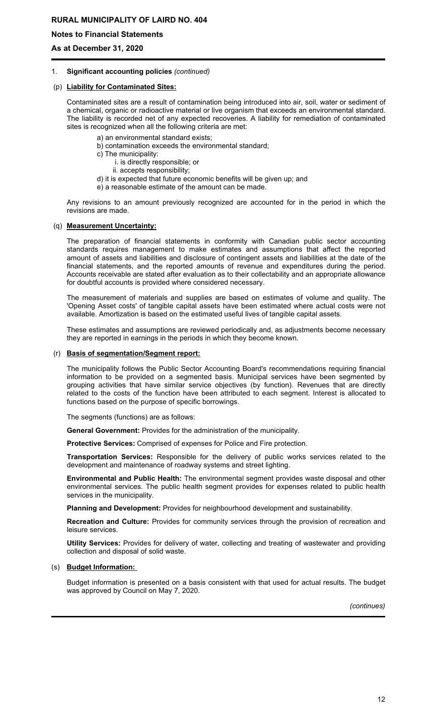## **Notes to Financial Statements**

**As at December 31, 2020**

#### 1. **Significant accounting policies** *(continued)*

#### (p) **Liability for Contaminated Sites:**

Contaminated sites are a result of contamination being introduced into air, soil, water or sediment of a chemical, organic or radioactive material or live organism that exceeds an environmental standard. The liability is recorded net of any expected recoveries. A liability for remediation of contaminated sites is recognized when all the following criteria are met:

- a) an environmental standard exists;
- b) contamination exceeds the environmental standard;
- c) The municipality:
	- i. is directly responsible; or
	- ii. accepts responsibility;
- d) it is expected that future economic benefits will be given up; and
- e) a reasonable estimate of the amount can be made.

Any revisions to an amount previously recognized are accounted for in the period in which the revisions are made.

## (q) **Measurement Uncertainty:**

The preparation of financial statements in conformity with Canadian public sector accounting standards requires management to make estimates and assumptions that affect the reported amount of assets and liabilities and disclosure of contingent assets and liabilities at the date of the financial statements, and the reported amounts of revenue and expenditures during the period. Accounts receivable are stated after evaluation as to their collectability and an appropriate allowance for doubtful accounts is provided where considered necessary.

The measurement of materials and supplies are based on estimates of volume and quality. The 'Opening Asset costs' of tangible capital assets have been estimated where actual costs were not available. Amortization is based on the estimated useful lives of tangible capital assets.

These estimates and assumptions are reviewed periodically and, as adjustments become necessary they are reported in earnings in the periods in which they become known.

#### (r) **Basis of segmentation/Segment report:**

The municipality follows the Public Sector Accounting Board's recommendations requiring financial information to be provided on a segmented basis. Municipal services have been segmented by grouping activities that have similar service objectives (by function). Revenues that are directly related to the costs of the function have been attributed to each segment. Interest is allocated to functions based on the purpose of specific borrowings.

The segments (functions) are as follows:

**General Government:** Provides for the administration of the municipality.

**Protective Services:** Comprised of expenses for Police and Fire protection.

**Transportation Services:** Responsible for the delivery of public works services related to the development and maintenance of roadway systems and street lighting.

**Environmental and Public Health:** The environmental segment provides waste disposal and other environmental services. The public health segment provides for expenses related to public health services in the municipality.

**Planning and Development:** Provides for neighbourhood development and sustainability.

**Recreation and Culture:** Provides for community services through the provision of recreation and leisure services.

**Utility Services:** Provides for delivery of water, collecting and treating of wastewater and providing collection and disposal of solid waste.

#### (s) **Budget Information:**

Budget information is presented on a basis consistent with that used for actual results. The budget was approved by Council on May 7, 2020.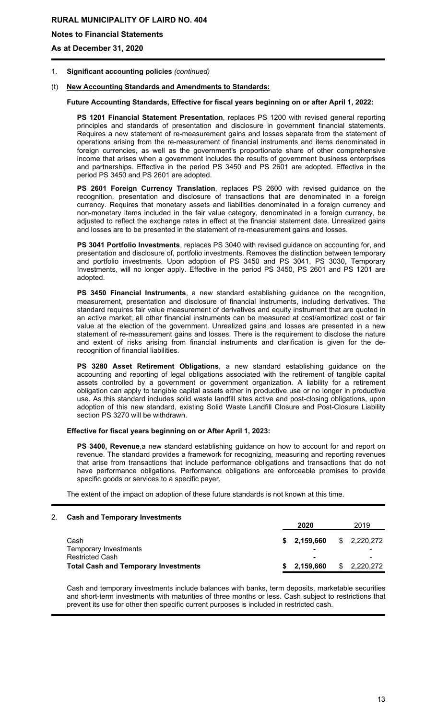**Notes to Financial Statements**

**As at December 31, 2020**

#### 1. **Significant accounting policies** *(continued)*

## (t) **New Accounting Standards and Amendments to Standards:**

#### **Future Accounting Standards, Effective for fiscal years beginning on or after April 1, 2022:**

**PS 1201 Financial Statement Presentation**, replaces PS 1200 with revised general reporting principles and standards of presentation and disclosure in government financial statements. Requires a new statement of re-measurement gains and losses separate from the statement of operations arising from the re-measurement of financial instruments and items denominated in foreign currencies, as well as the government's proportionate share of other comprehensive income that arises when a government includes the results of government business enterprises and partnerships. Effective in the period PS 3450 and PS 2601 are adopted. Effective in the period PS 3450 and PS 2601 are adopted.

**PS 2601 Foreign Currency Translation**, replaces PS 2600 with revised guidance on the recognition, presentation and disclosure of transactions that are denominated in a foreign currency. Requires that monetary assets and liabilities denominated in a foreign currency and non-monetary items included in the fair value category, denominated in a foreign currency, be adjusted to reflect the exchange rates in effect at the financial statement date. Unrealized gains and losses are to be presented in the statement of re-measurement gains and losses.

**PS 3041 Portfolio Investments**, replaces PS 3040 with revised guidance on accounting for, and presentation and disclosure of, portfolio investments. Removes the distinction between temporary and portfolio investments. Upon adoption of PS 3450 and PS 3041, PS 3030, Temporary Investments, will no longer apply. Effective in the period PS 3450, PS 2601 and PS 1201 are adopted.

**PS 3450 Financial Instruments**, a new standard establishing guidance on the recognition, measurement, presentation and disclosure of financial instruments, including derivatives. The standard requires fair value measurement of derivatives and equity instrument that are quoted in an active market; all other financial instruments can be measured at cost/amortized cost or fair value at the election of the government. Unrealized gains and losses are presented in a new statement of re-measurement gains and losses. There is the requirement to disclose the nature and extent of risks arising from financial instruments and clarification is given for the derecognition of financial liabilities.

**PS 3280 Asset Retirement Obligations**, a new standard establishing guidance on the accounting and reporting of legal obligations associated with the retirement of tangible capital assets controlled by a government or government organization. A liability for a retirement obligation can apply to tangible capital assets either in productive use or no longer in productive use. As this standard includes solid waste landfill sites active and post-closing obligations, upon adoption of this new standard, existing Solid Waste Landfill Closure and Post-Closure Liability section PS 3270 will be withdrawn.

#### **Effective for fiscal years beginning on or After April 1, 2023:**

**PS 3400, Revenue**,a new standard establishing guidance on how to account for and report on revenue. The standard provides a framework for recognizing, measuring and reporting revenues that arise from transactions that include performance obligations and transactions that do not have performance obligations. Performance obligations are enforceable promises to provide specific goods or services to a specific payer.

The extent of the impact on adoption of these future standards is not known at this time.

| 2. | <b>Cash and Temporary Investments</b>       |             |                  |
|----|---------------------------------------------|-------------|------------------|
|    |                                             | 2020        | 2019             |
|    | Cash<br>Temporary Investments               | \$2,159,660 | \$2,220,272<br>۰ |
|    | <b>Restricted Cash</b>                      |             |                  |
|    | <b>Total Cash and Temporary Investments</b> | 2,159,660   | \$<br>2,220,272  |

Cash and temporary investments include balances with banks, term deposits, marketable securities and short-term investments with maturities of three months or less. Cash subject to restrictions that prevent its use for other then specific current purposes is included in restricted cash.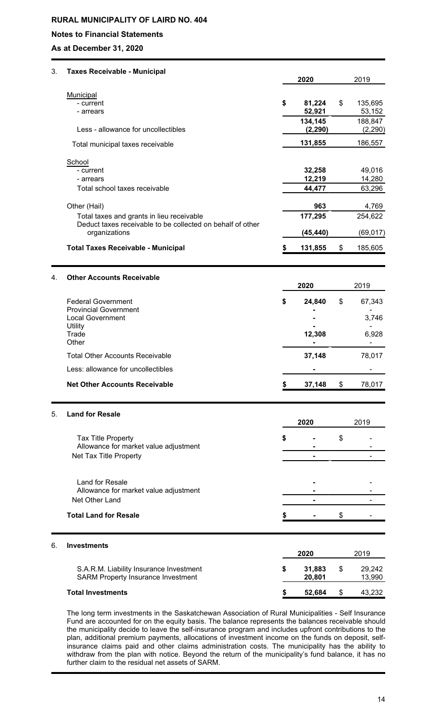# **Notes to Financial Statements**

**As at December 31, 2020**

| Municipal<br>\$<br>81,224<br>\$<br>135,695<br>- current<br>52,921<br>53,152<br>- arrears<br>134,145<br>188,847<br>Less - allowance for uncollectibles<br>(2, 290)<br>(2, 290)<br>131,855<br>186,557<br>Total municipal taxes receivable<br>School<br>32,258<br>49,016<br>- current<br>12,219<br>14,280<br>- arrears<br>63,296<br>44,477<br>Total school taxes receivable<br>963<br>Other (Hail)<br>4,769<br>177,295<br>Total taxes and grants in lieu receivable<br>254,622<br>Deduct taxes receivable to be collected on behalf of other<br>organizations<br>(45, 440)<br>(69, 017)<br><b>Total Taxes Receivable - Municipal</b><br>131,855<br>\$<br>185,605<br>\$<br><b>Other Accounts Receivable</b><br>4 <sub>1</sub><br>2020<br>2019<br><b>Federal Government</b><br>\$<br>24,840<br>\$<br>67,343<br><b>Provincial Government</b><br><b>Local Government</b><br>3,746<br>Utility<br>Trade<br>12,308<br>6,928<br>Other<br>37,148<br>78,017<br><b>Total Other Accounts Receivable</b><br>Less: allowance for uncollectibles<br><b>Net Other Accounts Receivable</b><br>37,148<br>\$<br>78,017<br>\$<br><b>Land for Resale</b><br>5.<br>2020<br>2019<br><b>Tax Title Property</b><br>\$<br>\$<br>Allowance for market value adjustment<br>Net Tax Title Property<br>$\blacksquare$<br>Land for Resale<br>Allowance for market value adjustment<br>Net Other Land<br><b>Total Land for Resale</b><br>\$<br>\$<br><b>Investments</b><br>6.<br>2020<br>2019<br>31,883<br>29,242<br>S.A.R.M. Liability Insurance Investment<br>\$<br>\$<br><b>SARM Property Insurance Investment</b><br>20,801<br>13,990<br><b>Total Investments</b><br>52,684<br>\$<br>43,232<br>\$ | 3. | <b>Taxes Receivable - Municipal</b> | 2020 | 2019 |
|--------------------------------------------------------------------------------------------------------------------------------------------------------------------------------------------------------------------------------------------------------------------------------------------------------------------------------------------------------------------------------------------------------------------------------------------------------------------------------------------------------------------------------------------------------------------------------------------------------------------------------------------------------------------------------------------------------------------------------------------------------------------------------------------------------------------------------------------------------------------------------------------------------------------------------------------------------------------------------------------------------------------------------------------------------------------------------------------------------------------------------------------------------------------------------------------------------------------------------------------------------------------------------------------------------------------------------------------------------------------------------------------------------------------------------------------------------------------------------------------------------------------------------------------------------------------------------------------------------------------------------------------------------------------|----|-------------------------------------|------|------|
|                                                                                                                                                                                                                                                                                                                                                                                                                                                                                                                                                                                                                                                                                                                                                                                                                                                                                                                                                                                                                                                                                                                                                                                                                                                                                                                                                                                                                                                                                                                                                                                                                                                                    |    |                                     |      |      |
|                                                                                                                                                                                                                                                                                                                                                                                                                                                                                                                                                                                                                                                                                                                                                                                                                                                                                                                                                                                                                                                                                                                                                                                                                                                                                                                                                                                                                                                                                                                                                                                                                                                                    |    |                                     |      |      |
|                                                                                                                                                                                                                                                                                                                                                                                                                                                                                                                                                                                                                                                                                                                                                                                                                                                                                                                                                                                                                                                                                                                                                                                                                                                                                                                                                                                                                                                                                                                                                                                                                                                                    |    |                                     |      |      |
|                                                                                                                                                                                                                                                                                                                                                                                                                                                                                                                                                                                                                                                                                                                                                                                                                                                                                                                                                                                                                                                                                                                                                                                                                                                                                                                                                                                                                                                                                                                                                                                                                                                                    |    |                                     |      |      |
|                                                                                                                                                                                                                                                                                                                                                                                                                                                                                                                                                                                                                                                                                                                                                                                                                                                                                                                                                                                                                                                                                                                                                                                                                                                                                                                                                                                                                                                                                                                                                                                                                                                                    |    |                                     |      |      |
|                                                                                                                                                                                                                                                                                                                                                                                                                                                                                                                                                                                                                                                                                                                                                                                                                                                                                                                                                                                                                                                                                                                                                                                                                                                                                                                                                                                                                                                                                                                                                                                                                                                                    |    |                                     |      |      |
|                                                                                                                                                                                                                                                                                                                                                                                                                                                                                                                                                                                                                                                                                                                                                                                                                                                                                                                                                                                                                                                                                                                                                                                                                                                                                                                                                                                                                                                                                                                                                                                                                                                                    |    |                                     |      |      |
|                                                                                                                                                                                                                                                                                                                                                                                                                                                                                                                                                                                                                                                                                                                                                                                                                                                                                                                                                                                                                                                                                                                                                                                                                                                                                                                                                                                                                                                                                                                                                                                                                                                                    |    |                                     |      |      |
|                                                                                                                                                                                                                                                                                                                                                                                                                                                                                                                                                                                                                                                                                                                                                                                                                                                                                                                                                                                                                                                                                                                                                                                                                                                                                                                                                                                                                                                                                                                                                                                                                                                                    |    |                                     |      |      |
|                                                                                                                                                                                                                                                                                                                                                                                                                                                                                                                                                                                                                                                                                                                                                                                                                                                                                                                                                                                                                                                                                                                                                                                                                                                                                                                                                                                                                                                                                                                                                                                                                                                                    |    |                                     |      |      |
|                                                                                                                                                                                                                                                                                                                                                                                                                                                                                                                                                                                                                                                                                                                                                                                                                                                                                                                                                                                                                                                                                                                                                                                                                                                                                                                                                                                                                                                                                                                                                                                                                                                                    |    |                                     |      |      |
|                                                                                                                                                                                                                                                                                                                                                                                                                                                                                                                                                                                                                                                                                                                                                                                                                                                                                                                                                                                                                                                                                                                                                                                                                                                                                                                                                                                                                                                                                                                                                                                                                                                                    |    |                                     |      |      |
|                                                                                                                                                                                                                                                                                                                                                                                                                                                                                                                                                                                                                                                                                                                                                                                                                                                                                                                                                                                                                                                                                                                                                                                                                                                                                                                                                                                                                                                                                                                                                                                                                                                                    |    |                                     |      |      |
|                                                                                                                                                                                                                                                                                                                                                                                                                                                                                                                                                                                                                                                                                                                                                                                                                                                                                                                                                                                                                                                                                                                                                                                                                                                                                                                                                                                                                                                                                                                                                                                                                                                                    |    |                                     |      |      |
|                                                                                                                                                                                                                                                                                                                                                                                                                                                                                                                                                                                                                                                                                                                                                                                                                                                                                                                                                                                                                                                                                                                                                                                                                                                                                                                                                                                                                                                                                                                                                                                                                                                                    |    |                                     |      |      |
|                                                                                                                                                                                                                                                                                                                                                                                                                                                                                                                                                                                                                                                                                                                                                                                                                                                                                                                                                                                                                                                                                                                                                                                                                                                                                                                                                                                                                                                                                                                                                                                                                                                                    |    |                                     |      |      |
|                                                                                                                                                                                                                                                                                                                                                                                                                                                                                                                                                                                                                                                                                                                                                                                                                                                                                                                                                                                                                                                                                                                                                                                                                                                                                                                                                                                                                                                                                                                                                                                                                                                                    |    |                                     |      |      |
|                                                                                                                                                                                                                                                                                                                                                                                                                                                                                                                                                                                                                                                                                                                                                                                                                                                                                                                                                                                                                                                                                                                                                                                                                                                                                                                                                                                                                                                                                                                                                                                                                                                                    |    |                                     |      |      |
|                                                                                                                                                                                                                                                                                                                                                                                                                                                                                                                                                                                                                                                                                                                                                                                                                                                                                                                                                                                                                                                                                                                                                                                                                                                                                                                                                                                                                                                                                                                                                                                                                                                                    |    |                                     |      |      |
|                                                                                                                                                                                                                                                                                                                                                                                                                                                                                                                                                                                                                                                                                                                                                                                                                                                                                                                                                                                                                                                                                                                                                                                                                                                                                                                                                                                                                                                                                                                                                                                                                                                                    |    |                                     |      |      |
|                                                                                                                                                                                                                                                                                                                                                                                                                                                                                                                                                                                                                                                                                                                                                                                                                                                                                                                                                                                                                                                                                                                                                                                                                                                                                                                                                                                                                                                                                                                                                                                                                                                                    |    |                                     |      |      |
|                                                                                                                                                                                                                                                                                                                                                                                                                                                                                                                                                                                                                                                                                                                                                                                                                                                                                                                                                                                                                                                                                                                                                                                                                                                                                                                                                                                                                                                                                                                                                                                                                                                                    |    |                                     |      |      |
|                                                                                                                                                                                                                                                                                                                                                                                                                                                                                                                                                                                                                                                                                                                                                                                                                                                                                                                                                                                                                                                                                                                                                                                                                                                                                                                                                                                                                                                                                                                                                                                                                                                                    |    |                                     |      |      |
|                                                                                                                                                                                                                                                                                                                                                                                                                                                                                                                                                                                                                                                                                                                                                                                                                                                                                                                                                                                                                                                                                                                                                                                                                                                                                                                                                                                                                                                                                                                                                                                                                                                                    |    |                                     |      |      |
|                                                                                                                                                                                                                                                                                                                                                                                                                                                                                                                                                                                                                                                                                                                                                                                                                                                                                                                                                                                                                                                                                                                                                                                                                                                                                                                                                                                                                                                                                                                                                                                                                                                                    |    |                                     |      |      |
|                                                                                                                                                                                                                                                                                                                                                                                                                                                                                                                                                                                                                                                                                                                                                                                                                                                                                                                                                                                                                                                                                                                                                                                                                                                                                                                                                                                                                                                                                                                                                                                                                                                                    |    |                                     |      |      |
|                                                                                                                                                                                                                                                                                                                                                                                                                                                                                                                                                                                                                                                                                                                                                                                                                                                                                                                                                                                                                                                                                                                                                                                                                                                                                                                                                                                                                                                                                                                                                                                                                                                                    |    |                                     |      |      |
|                                                                                                                                                                                                                                                                                                                                                                                                                                                                                                                                                                                                                                                                                                                                                                                                                                                                                                                                                                                                                                                                                                                                                                                                                                                                                                                                                                                                                                                                                                                                                                                                                                                                    |    |                                     |      |      |
|                                                                                                                                                                                                                                                                                                                                                                                                                                                                                                                                                                                                                                                                                                                                                                                                                                                                                                                                                                                                                                                                                                                                                                                                                                                                                                                                                                                                                                                                                                                                                                                                                                                                    |    |                                     |      |      |
|                                                                                                                                                                                                                                                                                                                                                                                                                                                                                                                                                                                                                                                                                                                                                                                                                                                                                                                                                                                                                                                                                                                                                                                                                                                                                                                                                                                                                                                                                                                                                                                                                                                                    |    |                                     |      |      |
|                                                                                                                                                                                                                                                                                                                                                                                                                                                                                                                                                                                                                                                                                                                                                                                                                                                                                                                                                                                                                                                                                                                                                                                                                                                                                                                                                                                                                                                                                                                                                                                                                                                                    |    |                                     |      |      |
|                                                                                                                                                                                                                                                                                                                                                                                                                                                                                                                                                                                                                                                                                                                                                                                                                                                                                                                                                                                                                                                                                                                                                                                                                                                                                                                                                                                                                                                                                                                                                                                                                                                                    |    |                                     |      |      |
|                                                                                                                                                                                                                                                                                                                                                                                                                                                                                                                                                                                                                                                                                                                                                                                                                                                                                                                                                                                                                                                                                                                                                                                                                                                                                                                                                                                                                                                                                                                                                                                                                                                                    |    |                                     |      |      |
|                                                                                                                                                                                                                                                                                                                                                                                                                                                                                                                                                                                                                                                                                                                                                                                                                                                                                                                                                                                                                                                                                                                                                                                                                                                                                                                                                                                                                                                                                                                                                                                                                                                                    |    |                                     |      |      |
|                                                                                                                                                                                                                                                                                                                                                                                                                                                                                                                                                                                                                                                                                                                                                                                                                                                                                                                                                                                                                                                                                                                                                                                                                                                                                                                                                                                                                                                                                                                                                                                                                                                                    |    |                                     |      |      |
|                                                                                                                                                                                                                                                                                                                                                                                                                                                                                                                                                                                                                                                                                                                                                                                                                                                                                                                                                                                                                                                                                                                                                                                                                                                                                                                                                                                                                                                                                                                                                                                                                                                                    |    |                                     |      |      |

The long term investments in the Saskatchewan Association of Rural Municipalities - Self Insurance Fund are accounted for on the equity basis. The balance represents the balances receivable should the municipality decide to leave the self-insurance program and includes upfront contributions to the plan, additional premium payments, allocations of investment income on the funds on deposit, selfinsurance claims paid and other claims administration costs. The municipality has the ability to withdraw from the plan with notice. Beyond the return of the municipality's fund balance, it has no further claim to the residual net assets of SARM.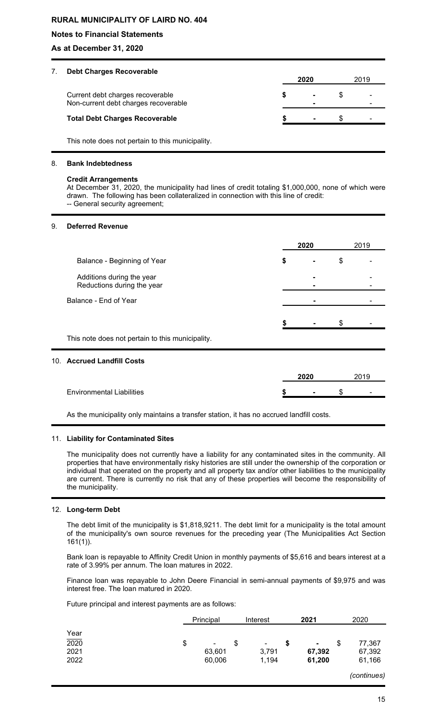# **Notes to Financial Statements**

# **As at December 31, 2020**

#### 7. **Debt Charges Recoverable**

| <b>PODE OTION ACCOVACIONIC</b>                                           | 2020 | 2019           |  |
|--------------------------------------------------------------------------|------|----------------|--|
| Current debt charges recoverable<br>Non-current debt charges recoverable | -    | $\blacksquare$ |  |
| <b>Total Debt Charges Recoverable</b>                                    |      | $\blacksquare$ |  |

This note does not pertain to this municipality.

#### 8. **Bank Indebtedness**

#### **Credit Arrangements**

At December 31, 2020, the municipality had lines of credit totaling \$1,000,000, none of which were drawn. The following has been collateralized in connection with this line of credit:

-- General security agreement;

## 9. **Deferred Revenue**

|                                                         | 2020 |      |
|---------------------------------------------------------|------|------|
|                                                         |      | 2019 |
| Balance - Beginning of Year                             | \$   | \$   |
| Additions during the year<br>Reductions during the year |      |      |
| Balance - End of Year                                   |      |      |
|                                                         |      | \$   |
| This note does not pertain to this municipality.        |      |      |
| 10. Accrued Landfill Costs                              |      |      |
|                                                         | 2020 | 2019 |
| <b>Environmental Liabilities</b>                        |      |      |

As the municipality only maintains a transfer station, it has no accrued landfill costs.

## 11. **Liability for Contaminated Sites**

The municipality does not currently have a liability for any contaminated sites in the community. All properties that have environmentally risky histories are still under the ownership of the corporation or individual that operated on the property and all property tax and/or other liabilities to the municipality are current. There is currently no risk that any of these properties will become the responsibility of the municipality.

## 12. **Long-term Debt**

The debt limit of the municipality is \$1,818,9211. The debt limit for a municipality is the total amount of the municipality's own source revenues for the preceding year (The Municipalities Act Section 161(1)).

Bank loan is repayable to Affinity Credit Union in monthly payments of \$5,616 and bears interest at a rate of 3.99% per annum. The loan matures in 2022.

Finance loan was repayable to John Deere Financial in semi-annual payments of \$9,975 and was interest free. The loan matured in 2020.

Future principal and interest payments are as follows:

|                     | Principal            | Interest             |   | 2021   | 2020         |
|---------------------|----------------------|----------------------|---|--------|--------------|
|                     |                      |                      |   |        |              |
| $\frac{Year}{2020}$ | \$<br>$\blacksquare$ | \$<br>$\blacksquare$ | S | $\sim$ | \$<br>77,367 |
| 2021                | 63,601               | 3,791                |   | 67,392 | 67,392       |
| 2022                | 60,006               | 1,194                |   | 61,200 | 61,166       |
|                     |                      |                      |   |        | (continues)  |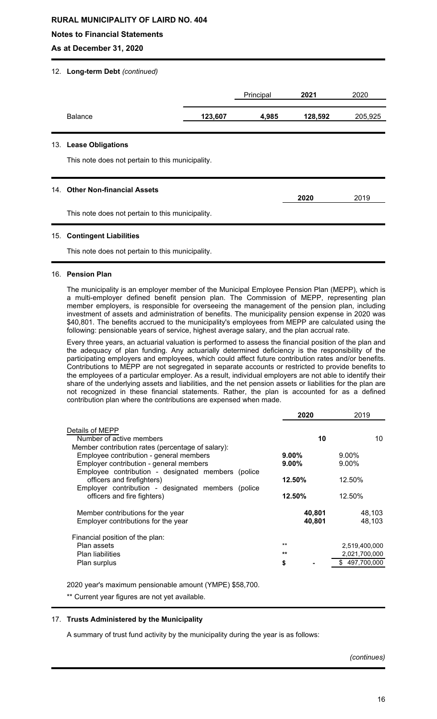# **Notes to Financial Statements**

## **As at December 31, 2020**

## 12. **Long-term Debt** *(continued)*

|     |                                                                                   |         | Principal | 2021    | 2020    |
|-----|-----------------------------------------------------------------------------------|---------|-----------|---------|---------|
|     | <b>Balance</b>                                                                    | 123,607 | 4,985     | 128,592 | 205,925 |
|     | 13. Lease Obligations<br>This note does not pertain to this municipality.         |         |           |         |         |
| 14. | <b>Other Non-financial Assets</b>                                                 |         |           | 2020    | 2019    |
|     | This note does not pertain to this municipality.                                  |         |           |         |         |
| 15. | <b>Contingent Liabilities</b><br>This note does not pertain to this municipality. |         |           |         |         |

#### 16. **Pension Plan**

The municipality is an employer member of the Municipal Employee Pension Plan (MEPP), which is a multi-employer defined benefit pension plan. The Commission of MEPP, representing plan member employers, is responsible for overseeing the management of the pension plan, including investment of assets and administration of benefits. The municipality pension expense in 2020 was \$40,801. The benefits accrued to the municipality's employees from MEPP are calculated using the following: pensionable years of service, highest average salary, and the plan accrual rate.

Every three years, an actuarial valuation is performed to assess the financial position of the plan and the adequacy of plan funding. Any actuarially determined deficiency is the responsibility of the participating employers and employees, which could affect future contribution rates and/or benefits. Contributions to MEPP are not segregated in separate accounts or restricted to provide benefits to the employees of a particular employer. As a result, individual employers are not able to identify their share of the underlying assets and liabilities, and the net pension assets or liabilities for the plan are not recognized in these financial statements. Rather, the plan is accounted for as a defined contribution plan where the contributions are expensed when made.

|                                                        | 2020     | 2019          |
|--------------------------------------------------------|----------|---------------|
| Details of MEPP                                        |          |               |
| Number of active members                               | 10       | 10            |
| Member contribution rates (percentage of salary):      |          |               |
| Employee contribution - general members                | $9.00\%$ | $9.00\%$      |
| Employer contribution - general members                | $9.00\%$ | 9.00%         |
| Employee contribution - designated members (police     |          |               |
| officers and firefighters)                             | 12.50%   | 12.50%        |
| Employer contribution - designated members<br>(police) |          |               |
| officers and fire fighters)                            | 12.50%   | 12.50%        |
| Member contributions for the year                      | 40,801   | 48,103        |
| Employer contributions for the year                    | 40,801   | 48,103        |
| Financial position of the plan:                        |          |               |
| Plan assets                                            | $***$    | 2,519,400,000 |
| <b>Plan liabilities</b>                                | **       | 2,021,700,000 |
| Plan surplus                                           | \$       | \$497,700,000 |
|                                                        |          |               |

2020 year's maximum pensionable amount (YMPE) \$58,700.

\*\* Current year figures are not yet available.

## 17. **Trusts Administered by the Municipality**

A summary of trust fund activity by the municipality during the year is as follows: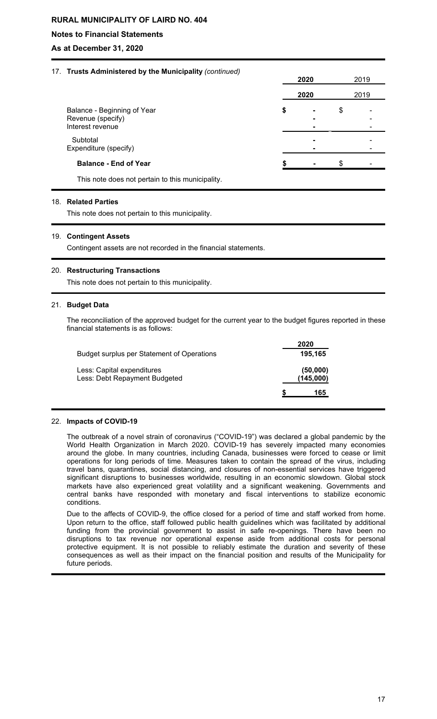## **Notes to Financial Statements**

## **As at December 31, 2020**

## 17. **Trusts Administered by the Municipality** *(continued)*

|                                                                      | 2020                 | 2019 |
|----------------------------------------------------------------------|----------------------|------|
|                                                                      | 2020                 | 2019 |
| Balance - Beginning of Year<br>Revenue (specify)<br>Interest revenue | \$<br>$\blacksquare$ | \$   |
| Subtotal<br>Expenditure (specify)                                    |                      |      |
| <b>Balance - End of Year</b>                                         |                      |      |
| This note does not pertain to this municipality.                     |                      |      |

#### 18. **Related Parties**

This note does not pertain to this municipality.

## 19. **Contingent Assets**

Contingent assets are not recorded in the financial statements.

## 20. **Restructuring Transactions**

This note does not pertain to this municipality.

## 21. **Budget Data**

The reconciliation of the approved budget for the current year to the budget figures reported in these financial statements is as follows:

|                                                             | 2020                  |
|-------------------------------------------------------------|-----------------------|
| <b>Budget surplus per Statement of Operations</b>           | 195,165               |
| Less: Capital expenditures<br>Less: Debt Repayment Budgeted | (50,000)<br>(145,000) |
|                                                             | 165                   |

## 22. **Impacts of COVID-19**

The outbreak of a novel strain of coronavirus ("COVID-19") was declared a global pandemic by the World Health Organization in March 2020. COVID-19 has severely impacted many economies around the globe. In many countries, including Canada, businesses were forced to cease or limit operations for long periods of time. Measures taken to contain the spread of the virus, including travel bans, quarantines, social distancing, and closures of non-essential services have triggered significant disruptions to businesses worldwide, resulting in an economic slowdown. Global stock markets have also experienced great volatility and a significant weakening. Governments and central banks have responded with monetary and fiscal interventions to stabilize economic conditions.

Due to the affects of COVID-9, the office closed for a period of time and staff worked from home. Upon return to the office, staff followed public health guidelines which was facilitated by additional funding from the provincial government to assist in safe re-openings. There have been no disruptions to tax revenue nor operational expense aside from additional costs for personal protective equipment. It is not possible to reliably estimate the duration and severity of these consequences as well as their impact on the financial position and results of the Municipality for future periods.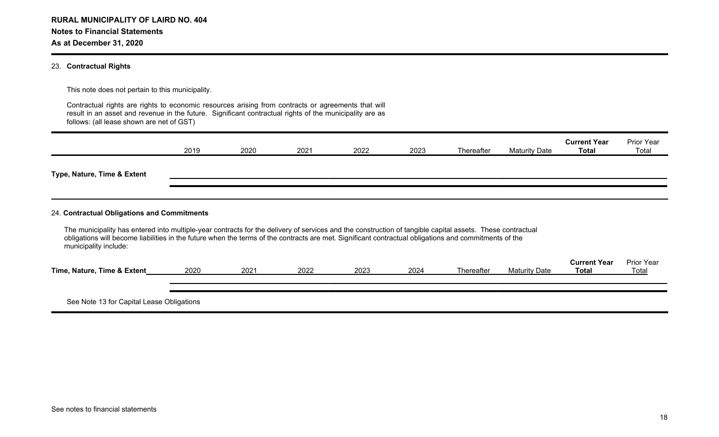#### 23. **Contractual Rights**

This note does not pertain to this municipality.

Contractual rights are rights to economic resources arising from contracts or agreements that will result in an asset and revenue in the future. Significant contractual rights of the municipality are as follows: (all lease shown are net of GST)

|                                                                                                                                                                                                                                                                                                                                             | 2019 | 2020 | 2021 | 2022 | 2023 | Thereafter | <b>Maturity Date</b> | <b>Current Year</b><br>Total | Prior Year<br>Total        |
|---------------------------------------------------------------------------------------------------------------------------------------------------------------------------------------------------------------------------------------------------------------------------------------------------------------------------------------------|------|------|------|------|------|------------|----------------------|------------------------------|----------------------------|
| Type, Nature, Time & Extent                                                                                                                                                                                                                                                                                                                 |      |      |      |      |      |            |                      |                              |                            |
| 24. Contractual Obligations and Commitments                                                                                                                                                                                                                                                                                                 |      |      |      |      |      |            |                      |                              |                            |
| The municipality has entered into multiple-year contracts for the delivery of services and the construction of tangible capital assets. These contractual<br>obligations will become liabilities in the future when the terms of the contracts are met. Significant contractual obligations and commitments of the<br>municipality include: |      |      |      |      |      |            |                      |                              |                            |
| Time, Nature, Time & Extent                                                                                                                                                                                                                                                                                                                 | 2020 | 2021 | 2022 | 2023 | 2024 | Thereafter | <b>Maturity Date</b> | <b>Current Year</b><br>Total | <b>Prior Year</b><br>Total |
| See Note 13 for Capital Lease Obligations                                                                                                                                                                                                                                                                                                   |      |      |      |      |      |            |                      |                              |                            |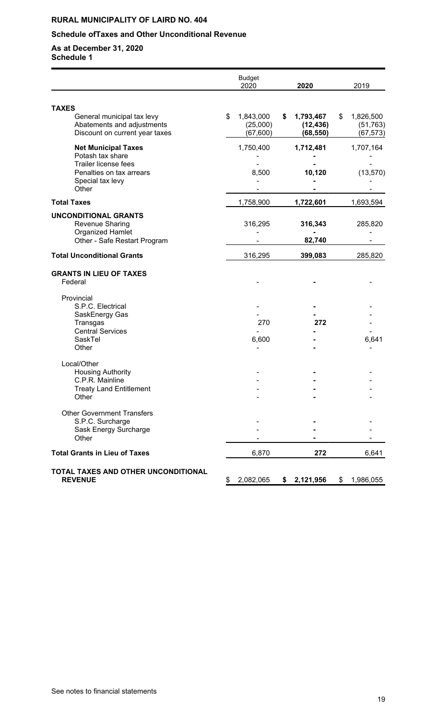# **Schedule ofTaxes and Other Unconditional Revenue**

**As at December 31, 2020 Schedule 1**

|                                                                                                                                 |    | <b>Budget</b><br>2020             | 2020                                      | 2019                                     |
|---------------------------------------------------------------------------------------------------------------------------------|----|-----------------------------------|-------------------------------------------|------------------------------------------|
| <b>TAXES</b>                                                                                                                    |    |                                   |                                           |                                          |
| General municipal tax levy<br>Abatements and adjustments<br>Discount on current year taxes                                      | \$ | 1,843,000<br>(25,000)<br>(67,600) | \$<br>1,793,467<br>(12, 436)<br>(68, 550) | \$<br>1,826,500<br>(51, 763)<br>(67,573) |
| <b>Net Municipal Taxes</b><br>Potash tax share<br>Trailer license fees<br>Penalties on tax arrears<br>Special tax levy<br>Other |    | 1,750,400<br>8,500                | 1,712,481<br>10,120                       | 1,707,164<br>(13, 570)                   |
| <b>Total Taxes</b>                                                                                                              |    | 1,758,900                         | 1,722,601                                 | 1,693,594                                |
| <b>UNCONDITIONAL GRANTS</b><br>Revenue Sharing<br><b>Organized Hamlet</b><br>Other - Safe Restart Program                       |    | 316,295                           | 316,343<br>82,740                         | 285,820                                  |
| <b>Total Unconditional Grants</b>                                                                                               |    | 316,295                           | 399,083                                   | 285,820                                  |
| <b>GRANTS IN LIEU OF TAXES</b><br>Federal                                                                                       |    |                                   |                                           |                                          |
| Provincial<br>S.P.C. Electrical<br>SaskEnergy Gas<br>Transgas<br><b>Central Services</b><br>SaskTel<br>Other                    |    | 270<br>6,600                      | 272                                       | 6,641                                    |
| Local/Other<br><b>Housing Authority</b><br>C.P.R. Mainline<br><b>Treaty Land Entitlement</b><br>Other                           |    |                                   |                                           |                                          |
| <b>Other Government Transfers</b><br>S.P.C. Surcharge<br>Sask Energy Surcharge<br>Other                                         |    |                                   |                                           |                                          |
| <b>Total Grants in Lieu of Taxes</b>                                                                                            |    | 6,870                             | 272                                       | 6,641                                    |
| TOTAL TAXES AND OTHER UNCONDITIONAL<br><b>REVENUE</b>                                                                           | P. | 2,082,065                         | \$2,121,956                               | \$<br>1,986,055                          |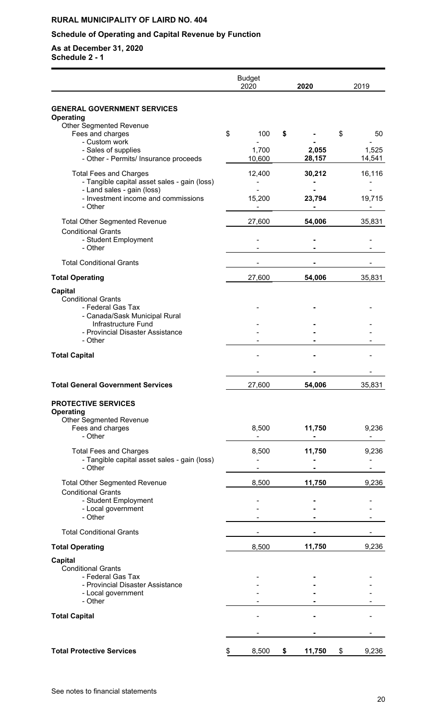# **Schedule of Operating and Capital Revenue by Function**

**As at December 31, 2020 Schedule 2 - 1**

|                                                                               | <b>Budget</b><br>2020 | 2020         | 2019        |
|-------------------------------------------------------------------------------|-----------------------|--------------|-------------|
| <b>GENERAL GOVERNMENT SERVICES</b><br>Operating                               |                       |              |             |
| <b>Other Segmented Revenue</b>                                                |                       |              |             |
| Fees and charges<br>- Custom work                                             | \$<br>100             | \$           | \$<br>50    |
| - Sales of supplies                                                           | 1,700                 | 2,055        | 1,525       |
| - Other - Permits/ Insurance proceeds                                         | 10,600                | 28,157       | 14,541      |
| <b>Total Fees and Charges</b>                                                 | 12,400                | 30,212       | 16,116      |
| - Tangible capital asset sales - gain (loss)                                  |                       |              |             |
| - Land sales - gain (loss)<br>- Investment income and commissions             | 15,200                | 23,794       | 19,715      |
| - Other                                                                       |                       |              |             |
| <b>Total Other Segmented Revenue</b>                                          | 27,600                | 54,006       | 35,831      |
| <b>Conditional Grants</b>                                                     |                       |              |             |
| - Student Employment<br>- Other                                               |                       |              |             |
| <b>Total Conditional Grants</b>                                               |                       |              |             |
| <b>Total Operating</b>                                                        | 27,600                | 54,006       | 35,831      |
| <b>Capital</b>                                                                |                       |              |             |
| <b>Conditional Grants</b>                                                     |                       |              |             |
| - Federal Gas Tax                                                             |                       |              |             |
| - Canada/Sask Municipal Rural<br>Infrastructure Fund                          |                       |              |             |
| - Provincial Disaster Assistance                                              |                       |              |             |
| - Other                                                                       |                       |              |             |
| <b>Total Capital</b>                                                          |                       |              |             |
|                                                                               |                       |              |             |
| <b>Total General Government Services</b>                                      | 27,600                | 54,006       | 35,831      |
| <b>PROTECTIVE SERVICES</b><br><b>Operating</b>                                |                       |              |             |
| <b>Other Segmented Revenue</b>                                                |                       |              |             |
| Fees and charges<br>- Other                                                   | 8,500                 | 11,750       | 9,236<br>-  |
|                                                                               |                       |              |             |
| <b>Total Fees and Charges</b><br>- Tangible capital asset sales - gain (loss) | 8,500                 | 11,750       | 9,236       |
| - Other                                                                       |                       |              |             |
| <b>Total Other Segmented Revenue</b>                                          | 8,500                 | 11,750       | 9,236       |
| <b>Conditional Grants</b><br>- Student Employment                             |                       |              |             |
| - Local government                                                            |                       |              |             |
| - Other                                                                       |                       |              |             |
| <b>Total Conditional Grants</b>                                               |                       |              |             |
| <b>Total Operating</b>                                                        | 8,500                 | 11,750       | 9,236       |
| <b>Capital</b>                                                                |                       |              |             |
| <b>Conditional Grants</b><br>- Federal Gas Tax                                |                       |              |             |
| - Provincial Disaster Assistance                                              |                       |              |             |
| - Local government                                                            |                       |              |             |
| - Other                                                                       |                       |              |             |
| <b>Total Capital</b>                                                          |                       |              |             |
|                                                                               |                       |              |             |
| <b>Total Protective Services</b>                                              | \$<br>8,500           | \$<br>11,750 | \$<br>9,236 |
|                                                                               |                       |              |             |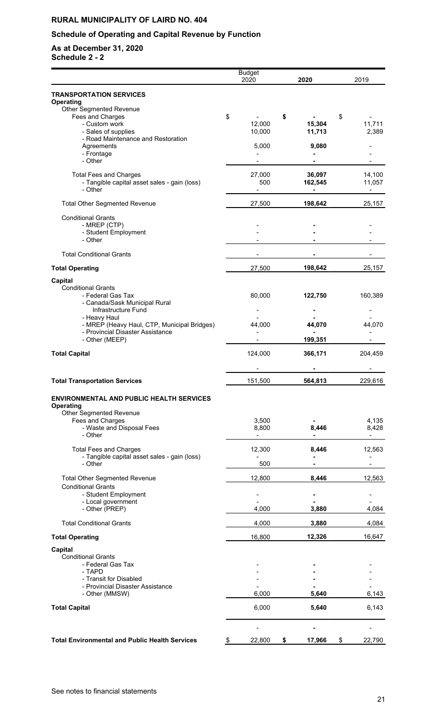# **Schedule of Operating and Capital Revenue by Function**

# **As at December 31, 2020**

| Schedule 2 - 2                                                      |                       |              |                                   |
|---------------------------------------------------------------------|-----------------------|--------------|-----------------------------------|
|                                                                     | <b>Budget</b><br>2020 | 2020         | 2019                              |
| <b>TRANSPORTATION SERVICES</b>                                      |                       |              |                                   |
| <b>Operating</b><br><b>Other Segmented Revenue</b>                  |                       |              |                                   |
| Fees and Charges                                                    | \$                    | \$           | \$                                |
| - Custom work                                                       | 12,000                | 15,304       | 11,711                            |
| - Sales of supplies                                                 | 10,000                | 11,713       | 2,389                             |
| - Road Maintenance and Restoration<br>Agreements                    | 5,000                 | 9,080        |                                   |
| - Frontage                                                          |                       |              |                                   |
| - Other                                                             |                       |              |                                   |
| <b>Total Fees and Charges</b>                                       | 27,000                | 36,097       | 14,100                            |
| - Tangible capital asset sales - gain (loss)                        | 500                   | 162,545      | 11,057                            |
| - Other                                                             |                       |              | $\blacksquare$                    |
| <b>Total Other Segmented Revenue</b>                                | 27,500                | 198,642      | 25,157                            |
| <b>Conditional Grants</b>                                           |                       |              |                                   |
| - MREP (CTP)                                                        |                       |              |                                   |
| - Student Employment<br>- Other                                     |                       |              |                                   |
|                                                                     |                       |              |                                   |
| <b>Total Conditional Grants</b>                                     |                       |              |                                   |
| <b>Total Operating</b>                                              | 27,500                | 198,642      | 25,157                            |
| Capital                                                             |                       |              |                                   |
| <b>Conditional Grants</b>                                           |                       |              |                                   |
| - Federal Gas Tax                                                   | 80,000                | 122,750      | 160,389                           |
| - Canada/Sask Municipal Rural<br>Infrastructure Fund                |                       |              |                                   |
| - Heavy Haul                                                        |                       |              |                                   |
| - MREP (Heavy Haul, CTP, Municipal Bridges)                         | 44,000                | 44,070       | 44,070                            |
| - Provincial Disaster Assistance<br>- Other (MEEP)                  |                       | 199,351      |                                   |
| <b>Total Capital</b>                                                | 124,000               | 366,171      | 204,459                           |
|                                                                     |                       |              |                                   |
| <b>Total Transportation Services</b>                                | 151,500               | 564,813      | 229,616                           |
| <b>ENVIRONMENTAL AND PUBLIC HEALTH SERVICES</b><br><b>Operating</b> |                       |              |                                   |
| Other Segmented Revenue                                             |                       |              |                                   |
| Fees and Charges                                                    | 3,500                 |              | 4,135                             |
| - Waste and Disposal Fees<br>- Other                                | 8,800                 | 8,446        | 8,428<br>$\overline{\phantom{a}}$ |
| <b>Total Fees and Charges</b>                                       | 12,300                | 8,446        | 12,563                            |
| - Tangible capital asset sales - gain (loss)                        |                       |              |                                   |
| - Other                                                             | 500                   |              |                                   |
| <b>Total Other Segmented Revenue</b>                                | 12,800                | 8,446        | 12,563                            |
| <b>Conditional Grants</b>                                           |                       |              |                                   |
| - Student Employment<br>- Local government                          |                       |              |                                   |
| - Other (PREP)                                                      | 4,000                 | 3,880        | 4,084                             |
| <b>Total Conditional Grants</b>                                     | 4,000                 | 3,880        | 4,084                             |
| <b>Total Operating</b>                                              | 16,800                | 12,326       | 16,647                            |
| Capital                                                             |                       |              |                                   |
| <b>Conditional Grants</b>                                           |                       |              |                                   |
| - Federal Gas Tax<br>- TAPD                                         |                       |              |                                   |
| - Transit for Disabled                                              |                       |              |                                   |
| - Provincial Disaster Assistance                                    |                       |              |                                   |
| - Other (MMSW)                                                      | 6,000                 | 5,640        | 6,143                             |
| <b>Total Capital</b>                                                | 6,000                 | 5,640        | 6,143                             |
|                                                                     |                       |              |                                   |
| <b>Total Environmental and Public Health Services</b>               |                       |              |                                   |
|                                                                     | 22,800<br>\$          | \$<br>17,966 | 22,790<br>\$                      |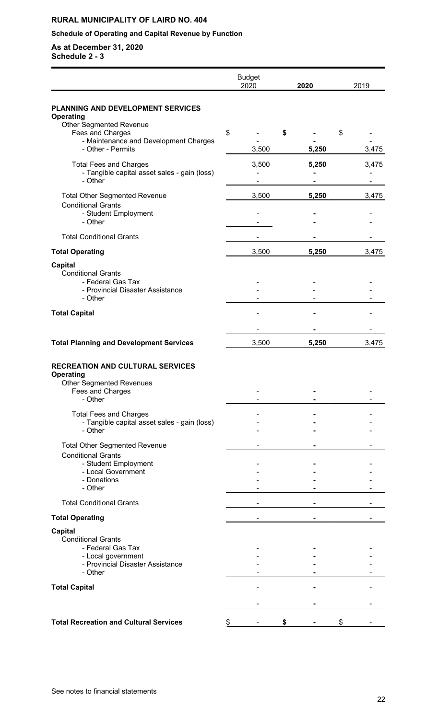# **Schedule of Operating and Capital Revenue by Function**

## **As at December 31, 2020 Schedule 2 - 3**

|                                                                                                                                           | <b>Budget</b><br>2020<br>2020 |    |       | 2019 |       |  |
|-------------------------------------------------------------------------------------------------------------------------------------------|-------------------------------|----|-------|------|-------|--|
| PLANNING AND DEVELOPMENT SERVICES                                                                                                         |                               |    |       |      |       |  |
| <b>Operating</b><br>Other Segmented Revenue<br>Fees and Charges<br>- Maintenance and Development Charges<br>- Other - Permits             | \$<br>3,500                   | \$ | 5,250 | \$   | 3,475 |  |
| <b>Total Fees and Charges</b><br>- Tangible capital asset sales - gain (loss)<br>- Other                                                  | 3,500                         |    | 5,250 |      | 3,475 |  |
| <b>Total Other Segmented Revenue</b><br><b>Conditional Grants</b><br>- Student Employment<br>- Other                                      | 3,500                         |    | 5,250 |      | 3,475 |  |
| <b>Total Conditional Grants</b>                                                                                                           |                               |    |       |      |       |  |
| <b>Total Operating</b>                                                                                                                    | 3,500                         |    | 5,250 |      | 3,475 |  |
| <b>Capital</b><br><b>Conditional Grants</b><br>- Federal Gas Tax<br>- Provincial Disaster Assistance<br>- Other                           |                               |    |       |      |       |  |
| <b>Total Capital</b>                                                                                                                      |                               |    |       |      |       |  |
|                                                                                                                                           |                               |    |       |      |       |  |
| <b>Total Planning and Development Services</b>                                                                                            | 3,500                         |    | 5,250 |      | 3,475 |  |
| <b>RECREATION AND CULTURAL SERVICES</b><br><b>Operating</b><br><b>Other Segmented Revenues</b><br>Fees and Charges<br>- Other             |                               |    |       |      |       |  |
| <b>Total Fees and Charges</b><br>- Tangible capital asset sales - gain (loss)<br>- Other                                                  |                               |    |       |      |       |  |
| <b>Total Other Segmented Revenue</b><br><b>Conditional Grants</b><br>- Student Employment<br>- Local Government<br>- Donations<br>- Other |                               |    |       |      |       |  |
| <b>Total Conditional Grants</b>                                                                                                           |                               |    |       |      |       |  |
| <b>Total Operating</b>                                                                                                                    |                               |    |       |      |       |  |
| <b>Capital</b><br><b>Conditional Grants</b><br>- Federal Gas Tax<br>- Local government<br>- Provincial Disaster Assistance<br>- Other     |                               |    |       |      |       |  |
| <b>Total Capital</b>                                                                                                                      |                               |    |       |      |       |  |
|                                                                                                                                           |                               |    |       |      |       |  |
| <b>Total Recreation and Cultural Services</b>                                                                                             | \$                            | \$ |       | \$   |       |  |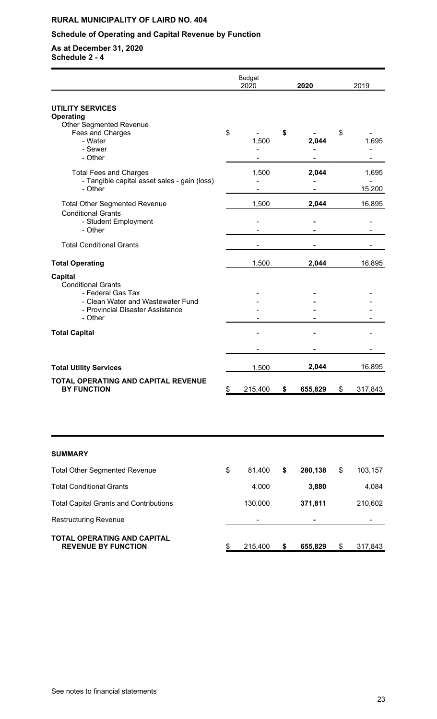# **Schedule of Operating and Capital Revenue by Function**

**As at December 31, 2020**

**Schedule 2 - 4**

|                                                                                                                                                                                | <b>Budget</b><br>2020 |    | 2020    | 2019            |
|--------------------------------------------------------------------------------------------------------------------------------------------------------------------------------|-----------------------|----|---------|-----------------|
| <b>UTILITY SERVICES</b><br><b>Operating</b><br><b>Other Segmented Revenue</b><br>Fees and Charges<br>- Water<br>- Sewer<br>- Other                                             | \$<br>1,500           | S  | 2,044   | \$<br>1,695     |
| <b>Total Fees and Charges</b><br>- Tangible capital asset sales - gain (loss)<br>- Other                                                                                       | 1,500                 |    | 2,044   | 1,695<br>15,200 |
| <b>Total Other Segmented Revenue</b><br><b>Conditional Grants</b><br>- Student Employment<br>- Other                                                                           | 1,500                 |    | 2,044   | 16,895          |
| <b>Total Conditional Grants</b>                                                                                                                                                |                       |    |         |                 |
| <b>Total Operating</b><br><b>Capital</b><br><b>Conditional Grants</b><br>- Federal Gas Tax<br>- Clean Water and Wastewater Fund<br>- Provincial Disaster Assistance<br>- Other | 1,500                 |    | 2,044   | 16,895          |
| <b>Total Capital</b>                                                                                                                                                           |                       |    |         |                 |
| <b>Total Utility Services</b>                                                                                                                                                  | 1,500                 |    | 2,044   | 16,895          |
| TOTAL OPERATING AND CAPITAL REVENUE<br><b>BY FUNCTION</b>                                                                                                                      | \$<br>215.400         | \$ | 655,829 | \$<br>317,843   |
| <b>SUMMARY</b>                                                                                                                                                                 |                       |    |         |                 |
| <b>Total Other Segmented Revenue</b>                                                                                                                                           | \$<br>81,400          | \$ | 280,138 | \$<br>103,157   |
| <b>Total Conditional Grants</b>                                                                                                                                                | 4,000                 |    | 3,880   | 4,084           |
| <b>Total Capital Grants and Contributions</b>                                                                                                                                  | 130,000               |    | 371,811 | 210,602         |
| <b>Restructuring Revenue</b>                                                                                                                                                   |                       |    |         |                 |
| TOTAL OPERATING AND CAPITAL<br><b>REVENUE BY FUNCTION</b>                                                                                                                      | \$<br>215,400         | \$ | 655,829 | \$<br>317,843   |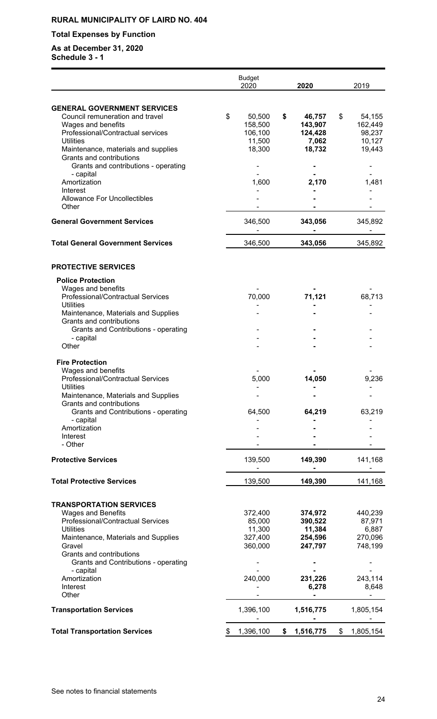# **Total Expenses by Function**

#### **As at December 31, 2020 Schedule 3 - 1**

| <b>GENERAL GOVERNMENT SERVICES</b><br>\$<br>Council remuneration and travel<br>50,500<br>\$<br>54,155<br>46,757<br>\$<br>Wages and benefits<br>162,449<br>158,500<br>143,907<br>Professional/Contractual services<br>106,100<br>124,428<br>98,237<br>10,127<br><b>Utilities</b><br>11,500<br>7,062<br>18,300<br>19,443<br>18,732<br>Maintenance, materials and supplies<br>Grants and contributions<br>Grants and contributions - operating<br>- capital<br>Amortization<br>1,600<br>1,481<br>2,170<br>Interest<br><b>Allowance For Uncollectibles</b><br>Other<br><b>General Government Services</b><br>346,500<br>343,056<br>345,892<br>346,500<br>343,056<br>345,892<br><b>Total General Government Services</b><br><b>PROTECTIVE SERVICES</b><br><b>Police Protection</b><br>Wages and benefits<br>Professional/Contractual Services<br>70,000<br>71,121<br>68,713<br><b>Utilities</b><br>Maintenance, Materials and Supplies<br>Grants and contributions<br>Grants and Contributions - operating<br>- capital<br>Other<br><b>Fire Protection</b><br>Wages and benefits<br>Professional/Contractual Services<br>9,236<br>5,000<br>14,050<br><b>Utilities</b><br>Maintenance, Materials and Supplies<br>Grants and contributions<br>63,219<br>Grants and Contributions - operating<br>64,500<br>64,219<br>- capital<br>Amortization<br>Interest<br>- Other<br><b>Protective Services</b><br>139,500<br>141,168<br>149,390<br><b>Total Protective Services</b><br>139,500<br>149,390<br>141,168<br><b>TRANSPORTATION SERVICES</b><br><b>Wages and Benefits</b><br>372,400<br>440,239<br>374,972<br>Professional/Contractual Services<br>85,000<br>390,522<br>87,971<br>11,384<br>6,887<br><b>Utilities</b><br>11,300<br>270,096<br>327,400<br>254,596<br>Maintenance, Materials and Supplies<br>360,000<br>748,199<br>Gravel<br>247,797<br>Grants and contributions<br>Grants and Contributions - operating<br>- capital<br>Amortization<br>240,000<br>231,226<br>243,114<br>Interest<br>6,278<br>8,648<br>Other<br><b>Transportation Services</b><br>1,396,100<br>1,516,775<br>1,805,154<br><b>Total Transportation Services</b><br>1,396,100<br>\$<br>1,516,775<br>1,805,154<br>\$<br>SS. |  | <b>Budget</b><br>2020 | 2020 | 2019 |
|-----------------------------------------------------------------------------------------------------------------------------------------------------------------------------------------------------------------------------------------------------------------------------------------------------------------------------------------------------------------------------------------------------------------------------------------------------------------------------------------------------------------------------------------------------------------------------------------------------------------------------------------------------------------------------------------------------------------------------------------------------------------------------------------------------------------------------------------------------------------------------------------------------------------------------------------------------------------------------------------------------------------------------------------------------------------------------------------------------------------------------------------------------------------------------------------------------------------------------------------------------------------------------------------------------------------------------------------------------------------------------------------------------------------------------------------------------------------------------------------------------------------------------------------------------------------------------------------------------------------------------------------------------------------------------------------------------------------------------------------------------------------------------------------------------------------------------------------------------------------------------------------------------------------------------------------------------------------------------------------------------------------------------------------------------------------------------------------------------------------------------------------------------------------------------------------------|--|-----------------------|------|------|
|                                                                                                                                                                                                                                                                                                                                                                                                                                                                                                                                                                                                                                                                                                                                                                                                                                                                                                                                                                                                                                                                                                                                                                                                                                                                                                                                                                                                                                                                                                                                                                                                                                                                                                                                                                                                                                                                                                                                                                                                                                                                                                                                                                                               |  |                       |      |      |
|                                                                                                                                                                                                                                                                                                                                                                                                                                                                                                                                                                                                                                                                                                                                                                                                                                                                                                                                                                                                                                                                                                                                                                                                                                                                                                                                                                                                                                                                                                                                                                                                                                                                                                                                                                                                                                                                                                                                                                                                                                                                                                                                                                                               |  |                       |      |      |
|                                                                                                                                                                                                                                                                                                                                                                                                                                                                                                                                                                                                                                                                                                                                                                                                                                                                                                                                                                                                                                                                                                                                                                                                                                                                                                                                                                                                                                                                                                                                                                                                                                                                                                                                                                                                                                                                                                                                                                                                                                                                                                                                                                                               |  |                       |      |      |
|                                                                                                                                                                                                                                                                                                                                                                                                                                                                                                                                                                                                                                                                                                                                                                                                                                                                                                                                                                                                                                                                                                                                                                                                                                                                                                                                                                                                                                                                                                                                                                                                                                                                                                                                                                                                                                                                                                                                                                                                                                                                                                                                                                                               |  |                       |      |      |
|                                                                                                                                                                                                                                                                                                                                                                                                                                                                                                                                                                                                                                                                                                                                                                                                                                                                                                                                                                                                                                                                                                                                                                                                                                                                                                                                                                                                                                                                                                                                                                                                                                                                                                                                                                                                                                                                                                                                                                                                                                                                                                                                                                                               |  |                       |      |      |
|                                                                                                                                                                                                                                                                                                                                                                                                                                                                                                                                                                                                                                                                                                                                                                                                                                                                                                                                                                                                                                                                                                                                                                                                                                                                                                                                                                                                                                                                                                                                                                                                                                                                                                                                                                                                                                                                                                                                                                                                                                                                                                                                                                                               |  |                       |      |      |
|                                                                                                                                                                                                                                                                                                                                                                                                                                                                                                                                                                                                                                                                                                                                                                                                                                                                                                                                                                                                                                                                                                                                                                                                                                                                                                                                                                                                                                                                                                                                                                                                                                                                                                                                                                                                                                                                                                                                                                                                                                                                                                                                                                                               |  |                       |      |      |
|                                                                                                                                                                                                                                                                                                                                                                                                                                                                                                                                                                                                                                                                                                                                                                                                                                                                                                                                                                                                                                                                                                                                                                                                                                                                                                                                                                                                                                                                                                                                                                                                                                                                                                                                                                                                                                                                                                                                                                                                                                                                                                                                                                                               |  |                       |      |      |
|                                                                                                                                                                                                                                                                                                                                                                                                                                                                                                                                                                                                                                                                                                                                                                                                                                                                                                                                                                                                                                                                                                                                                                                                                                                                                                                                                                                                                                                                                                                                                                                                                                                                                                                                                                                                                                                                                                                                                                                                                                                                                                                                                                                               |  |                       |      |      |
|                                                                                                                                                                                                                                                                                                                                                                                                                                                                                                                                                                                                                                                                                                                                                                                                                                                                                                                                                                                                                                                                                                                                                                                                                                                                                                                                                                                                                                                                                                                                                                                                                                                                                                                                                                                                                                                                                                                                                                                                                                                                                                                                                                                               |  |                       |      |      |
|                                                                                                                                                                                                                                                                                                                                                                                                                                                                                                                                                                                                                                                                                                                                                                                                                                                                                                                                                                                                                                                                                                                                                                                                                                                                                                                                                                                                                                                                                                                                                                                                                                                                                                                                                                                                                                                                                                                                                                                                                                                                                                                                                                                               |  |                       |      |      |
|                                                                                                                                                                                                                                                                                                                                                                                                                                                                                                                                                                                                                                                                                                                                                                                                                                                                                                                                                                                                                                                                                                                                                                                                                                                                                                                                                                                                                                                                                                                                                                                                                                                                                                                                                                                                                                                                                                                                                                                                                                                                                                                                                                                               |  |                       |      |      |
|                                                                                                                                                                                                                                                                                                                                                                                                                                                                                                                                                                                                                                                                                                                                                                                                                                                                                                                                                                                                                                                                                                                                                                                                                                                                                                                                                                                                                                                                                                                                                                                                                                                                                                                                                                                                                                                                                                                                                                                                                                                                                                                                                                                               |  |                       |      |      |
|                                                                                                                                                                                                                                                                                                                                                                                                                                                                                                                                                                                                                                                                                                                                                                                                                                                                                                                                                                                                                                                                                                                                                                                                                                                                                                                                                                                                                                                                                                                                                                                                                                                                                                                                                                                                                                                                                                                                                                                                                                                                                                                                                                                               |  |                       |      |      |
|                                                                                                                                                                                                                                                                                                                                                                                                                                                                                                                                                                                                                                                                                                                                                                                                                                                                                                                                                                                                                                                                                                                                                                                                                                                                                                                                                                                                                                                                                                                                                                                                                                                                                                                                                                                                                                                                                                                                                                                                                                                                                                                                                                                               |  |                       |      |      |
|                                                                                                                                                                                                                                                                                                                                                                                                                                                                                                                                                                                                                                                                                                                                                                                                                                                                                                                                                                                                                                                                                                                                                                                                                                                                                                                                                                                                                                                                                                                                                                                                                                                                                                                                                                                                                                                                                                                                                                                                                                                                                                                                                                                               |  |                       |      |      |
|                                                                                                                                                                                                                                                                                                                                                                                                                                                                                                                                                                                                                                                                                                                                                                                                                                                                                                                                                                                                                                                                                                                                                                                                                                                                                                                                                                                                                                                                                                                                                                                                                                                                                                                                                                                                                                                                                                                                                                                                                                                                                                                                                                                               |  |                       |      |      |
|                                                                                                                                                                                                                                                                                                                                                                                                                                                                                                                                                                                                                                                                                                                                                                                                                                                                                                                                                                                                                                                                                                                                                                                                                                                                                                                                                                                                                                                                                                                                                                                                                                                                                                                                                                                                                                                                                                                                                                                                                                                                                                                                                                                               |  |                       |      |      |
|                                                                                                                                                                                                                                                                                                                                                                                                                                                                                                                                                                                                                                                                                                                                                                                                                                                                                                                                                                                                                                                                                                                                                                                                                                                                                                                                                                                                                                                                                                                                                                                                                                                                                                                                                                                                                                                                                                                                                                                                                                                                                                                                                                                               |  |                       |      |      |
|                                                                                                                                                                                                                                                                                                                                                                                                                                                                                                                                                                                                                                                                                                                                                                                                                                                                                                                                                                                                                                                                                                                                                                                                                                                                                                                                                                                                                                                                                                                                                                                                                                                                                                                                                                                                                                                                                                                                                                                                                                                                                                                                                                                               |  |                       |      |      |
|                                                                                                                                                                                                                                                                                                                                                                                                                                                                                                                                                                                                                                                                                                                                                                                                                                                                                                                                                                                                                                                                                                                                                                                                                                                                                                                                                                                                                                                                                                                                                                                                                                                                                                                                                                                                                                                                                                                                                                                                                                                                                                                                                                                               |  |                       |      |      |
|                                                                                                                                                                                                                                                                                                                                                                                                                                                                                                                                                                                                                                                                                                                                                                                                                                                                                                                                                                                                                                                                                                                                                                                                                                                                                                                                                                                                                                                                                                                                                                                                                                                                                                                                                                                                                                                                                                                                                                                                                                                                                                                                                                                               |  |                       |      |      |
|                                                                                                                                                                                                                                                                                                                                                                                                                                                                                                                                                                                                                                                                                                                                                                                                                                                                                                                                                                                                                                                                                                                                                                                                                                                                                                                                                                                                                                                                                                                                                                                                                                                                                                                                                                                                                                                                                                                                                                                                                                                                                                                                                                                               |  |                       |      |      |
|                                                                                                                                                                                                                                                                                                                                                                                                                                                                                                                                                                                                                                                                                                                                                                                                                                                                                                                                                                                                                                                                                                                                                                                                                                                                                                                                                                                                                                                                                                                                                                                                                                                                                                                                                                                                                                                                                                                                                                                                                                                                                                                                                                                               |  |                       |      |      |
|                                                                                                                                                                                                                                                                                                                                                                                                                                                                                                                                                                                                                                                                                                                                                                                                                                                                                                                                                                                                                                                                                                                                                                                                                                                                                                                                                                                                                                                                                                                                                                                                                                                                                                                                                                                                                                                                                                                                                                                                                                                                                                                                                                                               |  |                       |      |      |
|                                                                                                                                                                                                                                                                                                                                                                                                                                                                                                                                                                                                                                                                                                                                                                                                                                                                                                                                                                                                                                                                                                                                                                                                                                                                                                                                                                                                                                                                                                                                                                                                                                                                                                                                                                                                                                                                                                                                                                                                                                                                                                                                                                                               |  |                       |      |      |
|                                                                                                                                                                                                                                                                                                                                                                                                                                                                                                                                                                                                                                                                                                                                                                                                                                                                                                                                                                                                                                                                                                                                                                                                                                                                                                                                                                                                                                                                                                                                                                                                                                                                                                                                                                                                                                                                                                                                                                                                                                                                                                                                                                                               |  |                       |      |      |
|                                                                                                                                                                                                                                                                                                                                                                                                                                                                                                                                                                                                                                                                                                                                                                                                                                                                                                                                                                                                                                                                                                                                                                                                                                                                                                                                                                                                                                                                                                                                                                                                                                                                                                                                                                                                                                                                                                                                                                                                                                                                                                                                                                                               |  |                       |      |      |
|                                                                                                                                                                                                                                                                                                                                                                                                                                                                                                                                                                                                                                                                                                                                                                                                                                                                                                                                                                                                                                                                                                                                                                                                                                                                                                                                                                                                                                                                                                                                                                                                                                                                                                                                                                                                                                                                                                                                                                                                                                                                                                                                                                                               |  |                       |      |      |
|                                                                                                                                                                                                                                                                                                                                                                                                                                                                                                                                                                                                                                                                                                                                                                                                                                                                                                                                                                                                                                                                                                                                                                                                                                                                                                                                                                                                                                                                                                                                                                                                                                                                                                                                                                                                                                                                                                                                                                                                                                                                                                                                                                                               |  |                       |      |      |
|                                                                                                                                                                                                                                                                                                                                                                                                                                                                                                                                                                                                                                                                                                                                                                                                                                                                                                                                                                                                                                                                                                                                                                                                                                                                                                                                                                                                                                                                                                                                                                                                                                                                                                                                                                                                                                                                                                                                                                                                                                                                                                                                                                                               |  |                       |      |      |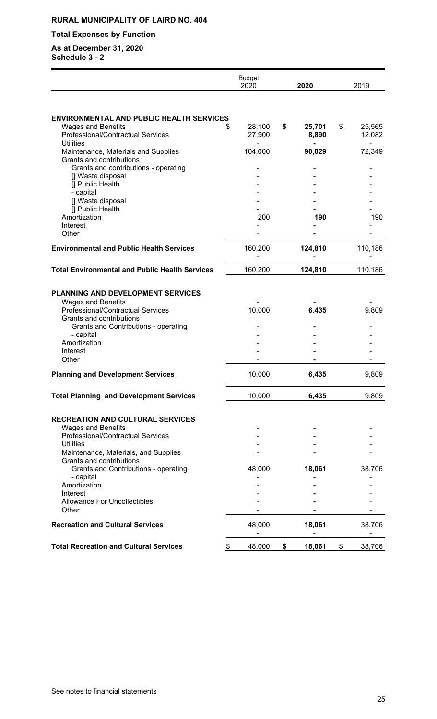# **Total Expenses by Function**

#### **As at December 31, 2020 Schedule 3 - 2**

|                                                                                                                         | <b>Budget</b><br>2020 | 2020                  | 2019                   |
|-------------------------------------------------------------------------------------------------------------------------|-----------------------|-----------------------|------------------------|
|                                                                                                                         |                       |                       |                        |
| <b>ENVIRONMENTAL AND PUBLIC HEALTH SERVICES</b><br><b>Wages and Benefits</b><br>\$<br>Professional/Contractual Services | 28,100<br>27,900      | \$<br>25,701<br>8,890 | \$<br>25,565<br>12,082 |
| <b>Utilities</b><br>Maintenance, Materials and Supplies                                                                 | 104,000               | 90,029                | 72,349                 |
| Grants and contributions<br>Grants and contributions - operating                                                        |                       |                       |                        |
| [] Waste disposal<br>[] Public Health                                                                                   |                       |                       |                        |
| - capital                                                                                                               |                       |                       |                        |
| [] Waste disposal                                                                                                       |                       |                       |                        |
| [] Public Health<br>Amortization                                                                                        | 200                   | 190                   | 190                    |
| Interest<br>Other                                                                                                       |                       |                       |                        |
| <b>Environmental and Public Health Services</b>                                                                         | 160,200               | 124,810               | 110,186                |
|                                                                                                                         |                       |                       |                        |
| <b>Total Environmental and Public Health Services</b>                                                                   | 160,200               | 124,810               | 110,186                |
|                                                                                                                         |                       |                       |                        |
| PLANNING AND DEVELOPMENT SERVICES                                                                                       |                       |                       |                        |
| <b>Wages and Benefits</b><br>Professional/Contractual Services<br>Grants and contributions                              | 10,000                | 6,435                 | 9,809                  |
| Grants and Contributions - operating                                                                                    |                       |                       |                        |
| - capital<br>Amortization                                                                                               |                       |                       |                        |
| Interest                                                                                                                |                       |                       |                        |
| Other                                                                                                                   |                       |                       |                        |
| <b>Planning and Development Services</b>                                                                                | 10,000                | 6,435                 | 9,809                  |
| <b>Total Planning and Development Services</b>                                                                          | 10,000                | 6,435                 | 9,809                  |
|                                                                                                                         |                       |                       |                        |
| <b>RECREATION AND CULTURAL SERVICES</b>                                                                                 |                       |                       |                        |
| <b>Wages and Benefits</b><br><b>Professional/Contractual Services</b>                                                   |                       |                       |                        |
| <b>Utilities</b>                                                                                                        |                       |                       |                        |
| Maintenance, Materials, and Supplies                                                                                    |                       |                       |                        |
| Grants and contributions<br>Grants and Contributions - operating<br>- capital                                           | 48,000                | 18,061                | 38,706                 |
| Amortization                                                                                                            |                       |                       |                        |
| Interest                                                                                                                |                       |                       |                        |
| <b>Allowance For Uncollectibles</b><br>Other                                                                            |                       |                       |                        |
| <b>Recreation and Cultural Services</b>                                                                                 | 48,000                | 18,061                | 38,706                 |
| <b>Total Recreation and Cultural Services</b><br>\$                                                                     | 48,000                | \$<br>18,061          | \$<br>38,706           |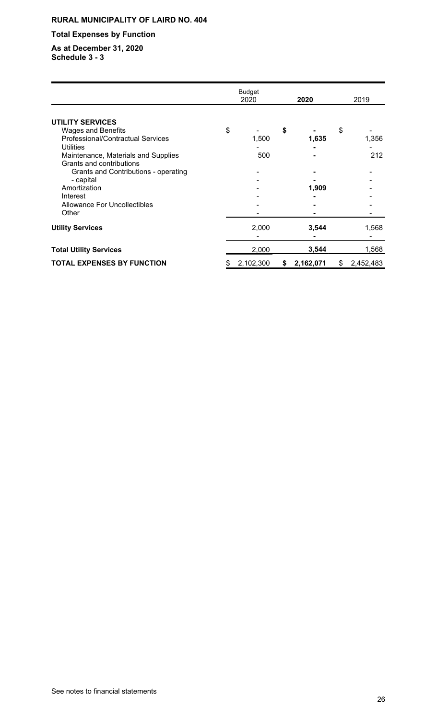# **Total Expenses by Function**

**As at December 31, 2020 Schedule 3 - 3**

|                                                       | <b>Budget</b><br>2020 |    | 2020      | 2019            |
|-------------------------------------------------------|-----------------------|----|-----------|-----------------|
|                                                       |                       |    |           |                 |
| <b>UTILITY SERVICES</b>                               |                       |    |           |                 |
| <b>Wages and Benefits</b>                             | \$                    | \$ |           | \$              |
| Professional/Contractual Services<br><b>Utilities</b> | 1,500                 |    | 1,635     | 1,356           |
| Maintenance, Materials and Supplies                   | 500                   |    |           | 212             |
| Grants and contributions                              |                       |    |           |                 |
| Grants and Contributions - operating                  |                       |    |           |                 |
| - capital                                             |                       |    |           |                 |
| Amortization                                          |                       |    | 1,909     |                 |
| Interest                                              |                       |    |           |                 |
| Allowance For Uncollectibles                          |                       |    |           |                 |
| Other                                                 |                       |    |           |                 |
| <b>Utility Services</b>                               | 2,000                 |    | 3,544     | 1,568           |
|                                                       |                       |    |           |                 |
| <b>Total Utility Services</b>                         | 2,000                 |    | 3,544     | 1,568           |
| <b>TOTAL EXPENSES BY FUNCTION</b>                     | \$<br>2,102,300       | S. | 2,162,071 | \$<br>2,452,483 |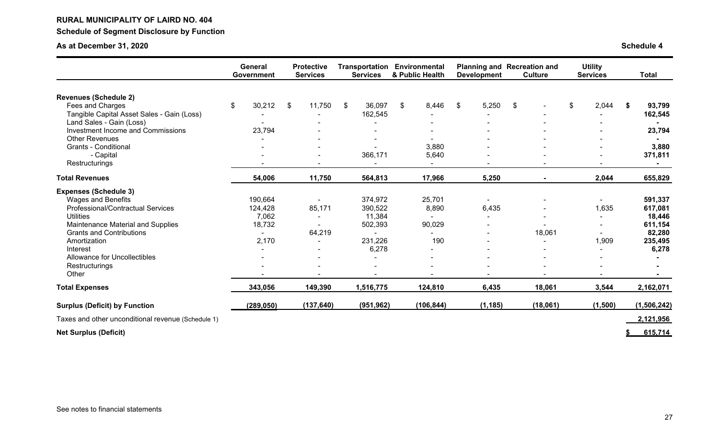## **RURAL MUNICIPALITY OF LAIRD NO. 404 Schedule of Segment Disclosure by Function**

# **As at December 31, 2020 Schedule 4**

|                                                    | General<br><b>Government</b> | <b>Protective</b><br><b>Services</b> | Transportation<br><b>Services</b> | Environmental<br>& Public Health | <b>Development</b> | <b>Planning and Recreation and</b><br><b>Culture</b> | <b>Utility</b><br><b>Services</b> | <b>Total</b>            |
|----------------------------------------------------|------------------------------|--------------------------------------|-----------------------------------|----------------------------------|--------------------|------------------------------------------------------|-----------------------------------|-------------------------|
|                                                    |                              |                                      |                                   |                                  |                    |                                                      |                                   |                         |
| <b>Revenues (Schedule 2)</b><br>Fees and Charges   | \$                           | 11,750                               | 36,097                            | 8,446                            | 5,250              |                                                      | 2,044                             |                         |
| Tangible Capital Asset Sales - Gain (Loss)         | 30,212                       | \$                                   | \$<br>162,545                     | \$                               | \$                 | \$                                                   | \$                                | 93,799<br>\$<br>162,545 |
| Land Sales - Gain (Loss)                           |                              |                                      |                                   |                                  |                    |                                                      |                                   |                         |
| Investment Income and Commissions                  | 23,794                       |                                      |                                   |                                  |                    |                                                      |                                   | 23,794                  |
| <b>Other Revenues</b>                              |                              |                                      |                                   |                                  |                    |                                                      |                                   |                         |
| <b>Grants - Conditional</b>                        |                              |                                      |                                   | 3,880                            |                    |                                                      |                                   | 3,880                   |
| - Capital                                          |                              |                                      | 366,171                           | 5,640                            |                    |                                                      |                                   | 371,811                 |
| Restructurings                                     |                              |                                      |                                   |                                  |                    |                                                      |                                   |                         |
| <b>Total Revenues</b>                              | 54,006                       | 11,750                               | 564,813                           | 17,966                           | 5,250              | $\blacksquare$                                       | 2,044                             | 655,829                 |
| <b>Expenses (Schedule 3)</b>                       |                              |                                      |                                   |                                  |                    |                                                      |                                   |                         |
| Wages and Benefits                                 | 190,664                      |                                      | 374,972                           | 25,701                           |                    |                                                      |                                   | 591,337                 |
| Professional/Contractual Services                  | 124,428                      | 85,171                               | 390,522                           | 8,890                            | 6,435              |                                                      | 1,635                             | 617,081                 |
| <b>Utilities</b>                                   | 7,062                        |                                      | 11,384                            |                                  |                    |                                                      |                                   | 18,446                  |
| Maintenance Material and Supplies                  | 18,732                       | $\sim$                               | 502,393                           | 90,029                           |                    |                                                      |                                   | 611,154                 |
| <b>Grants and Contributions</b>                    |                              | 64,219                               |                                   |                                  |                    | 18,061                                               |                                   | 82,280                  |
| Amortization                                       | 2,170                        |                                      | 231,226                           | 190                              |                    |                                                      | 1,909                             | 235,495                 |
| Interest                                           |                              |                                      | 6,278                             |                                  |                    |                                                      |                                   | 6,278                   |
| Allowance for Uncollectibles                       |                              |                                      |                                   |                                  |                    |                                                      |                                   |                         |
| Restructurings                                     |                              |                                      |                                   |                                  |                    |                                                      |                                   |                         |
| Other                                              |                              |                                      |                                   |                                  |                    |                                                      |                                   |                         |
| <b>Total Expenses</b>                              | 343,056                      | 149,390                              | 1,516,775                         | 124,810                          | 6,435              | 18,061                                               | 3,544                             | 2,162,071               |
| <b>Surplus (Deficit) by Function</b>               | (289, 050)                   | (137, 640)                           | (951, 962)                        | (106, 844)                       | (1, 185)           | (18,061)                                             | (1,500)                           | (1,506,242)             |
| Taxes and other unconditional revenue (Schedule 1) |                              |                                      |                                   |                                  |                    |                                                      |                                   | 2,121,956               |
| <b>Net Surplus (Deficit)</b>                       |                              |                                      |                                   |                                  |                    |                                                      |                                   | 615.714                 |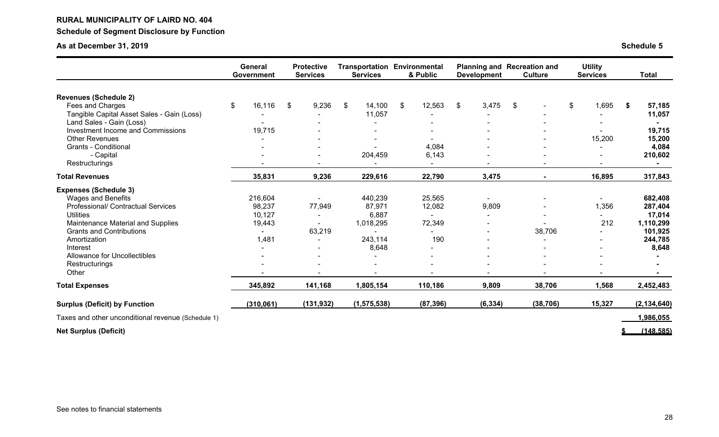# **RURAL MUNICIPALITY OF LAIRD NO. 404 Schedule of Segment Disclosure by Function**

# **As at December 31, 2019**

|  | <b>Schedule 5</b> |  |  |
|--|-------------------|--|--|
|  |                   |  |  |

|                                                    | General<br>Government | <b>Protective</b><br><b>Services</b> | <b>Services</b> | <b>Transportation Environmental</b><br>& Public | <b>Development</b> | <b>Planning and Recreation and</b><br><b>Culture</b> | <b>Utility</b><br><b>Services</b> | <b>Total</b>  |
|----------------------------------------------------|-----------------------|--------------------------------------|-----------------|-------------------------------------------------|--------------------|------------------------------------------------------|-----------------------------------|---------------|
| <b>Revenues (Schedule 2)</b>                       |                       |                                      |                 |                                                 |                    |                                                      |                                   |               |
| Fees and Charges                                   | \$<br>16,116          | 9,236<br>\$                          | \$<br>14,100    | \$<br>12,563                                    | \$<br>3,475        | \$                                                   | \$<br>1,695                       | 57,185<br>S.  |
| Tangible Capital Asset Sales - Gain (Loss)         |                       |                                      | 11,057          |                                                 |                    |                                                      |                                   | 11,057        |
| Land Sales - Gain (Loss)                           |                       |                                      |                 |                                                 |                    |                                                      |                                   |               |
| Investment Income and Commissions                  | 19,715                |                                      |                 |                                                 |                    |                                                      |                                   | 19,715        |
| <b>Other Revenues</b>                              |                       |                                      |                 |                                                 |                    |                                                      | 15,200                            | 15,200        |
| <b>Grants - Conditional</b>                        |                       |                                      |                 | 4,084                                           |                    |                                                      |                                   | 4,084         |
| - Capital                                          |                       |                                      | 204,459         | 6,143                                           |                    |                                                      |                                   | 210,602       |
| Restructurings                                     |                       |                                      |                 |                                                 |                    |                                                      |                                   |               |
| <b>Total Revenues</b>                              | 35,831                | 9,236                                | 229,616         | 22,790                                          | 3,475              | $\blacksquare$                                       | 16,895                            | 317,843       |
| <b>Expenses (Schedule 3)</b>                       |                       |                                      |                 |                                                 |                    |                                                      |                                   |               |
| <b>Wages and Benefits</b>                          | 216,604               |                                      | 440,239         | 25,565                                          |                    |                                                      |                                   | 682,408       |
| Professional/ Contractual Services                 | 98,237                | 77,949                               | 87,971          | 12,082                                          | 9,809              |                                                      | 1,356                             | 287,404       |
| <b>Utilities</b>                                   | 10,127                | $\overline{\phantom{a}}$             | 6,887           |                                                 |                    |                                                      |                                   | 17,014        |
| Maintenance Material and Supplies                  | 19,443                |                                      | 1,018,295       | 72,349                                          |                    |                                                      | 212                               | 1,110,299     |
| <b>Grants and Contributions</b>                    |                       | 63,219                               |                 |                                                 |                    | 38,706                                               |                                   | 101,925       |
| Amortization                                       | 1,481                 |                                      | 243,114         | 190                                             |                    |                                                      |                                   | 244,785       |
| Interest                                           |                       |                                      | 8,648           |                                                 |                    |                                                      |                                   | 8,648         |
| Allowance for Uncollectibles                       |                       |                                      |                 |                                                 |                    |                                                      |                                   |               |
| Restructurings                                     |                       |                                      |                 |                                                 |                    |                                                      |                                   |               |
| Other                                              |                       |                                      |                 |                                                 |                    |                                                      |                                   |               |
| <b>Total Expenses</b>                              | 345,892               | 141,168                              | 1,805,154       | 110,186                                         | 9,809              | 38,706                                               | 1,568                             | 2,452,483     |
| <b>Surplus (Deficit) by Function</b>               | (310, 061)            | (131, 932)                           | (1, 575, 538)   | (87, 396)                                       | (6, 334)           | (38, 706)                                            | 15,327                            | (2, 134, 640) |
| Taxes and other unconditional revenue (Schedule 1) |                       |                                      |                 |                                                 |                    |                                                      |                                   | 1,986,055     |
| <b>Net Surplus (Deficit)</b>                       |                       |                                      |                 |                                                 |                    |                                                      |                                   | (148.585)     |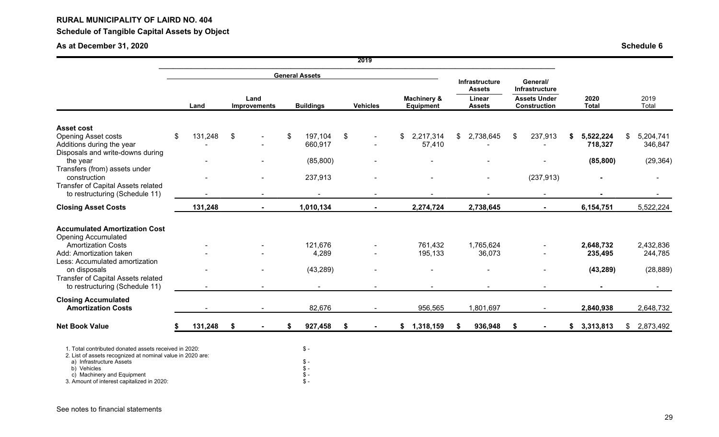# **Schedule of Tangible Capital Assets by Object**

# As at December 31, 2020 Schedule 6

|                                                                                                       |               |                |                      |    |                          | 2019            |                                     |    |                                          |                                                              |                      |                      |                            |
|-------------------------------------------------------------------------------------------------------|---------------|----------------|----------------------|----|--------------------------|-----------------|-------------------------------------|----|------------------------------------------|--------------------------------------------------------------|----------------------|----------------------|----------------------------|
|                                                                                                       |               |                |                      |    | <b>General Assets</b>    |                 |                                     |    | Infrastructure                           | General/                                                     |                      |                      |                            |
|                                                                                                       | Land          |                | Land<br>Improvements |    | <b>Buildings</b>         | <b>Vehicles</b> | <b>Machinery &amp;</b><br>Equipment |    | <b>Assets</b><br>Linear<br><b>Assets</b> | Infrastructure<br><b>Assets Under</b><br><b>Construction</b> | 2020<br><b>Total</b> |                      | 2019<br>Total              |
| <b>Asset cost</b>                                                                                     |               |                |                      |    |                          |                 |                                     |    |                                          |                                                              |                      |                      |                            |
| <b>Opening Asset costs</b><br>Additions during the year                                               | \$<br>131,248 | $\mathfrak{P}$ |                      | \$ | 197,104<br>660,917       | \$              | \$<br>2,217,314<br>57,410           | \$ | 2,738,645                                | \$<br>237,913                                                | S                    | 5,522,224<br>718,327 | \$<br>5,204,741<br>346,847 |
| Disposals and write-downs during<br>the year<br>Transfers (from) assets under                         |               |                |                      |    | (85, 800)                |                 |                                     |    |                                          |                                                              |                      | (85, 800)            | (29, 364)                  |
| construction<br>Transfer of Capital Assets related                                                    |               |                |                      |    | 237,913                  |                 |                                     |    |                                          | (237, 913)                                                   |                      |                      |                            |
| to restructuring (Schedule 11)                                                                        |               |                |                      |    |                          |                 |                                     |    |                                          |                                                              |                      |                      |                            |
| <b>Closing Asset Costs</b>                                                                            | 131,248       |                |                      |    | 1,010,134                |                 | 2,274,724                           |    | 2,738,645                                |                                                              |                      | 6,154,751            | 5,522,224                  |
| <b>Accumulated Amortization Cost</b><br><b>Opening Accumulated</b>                                    |               |                |                      |    |                          |                 |                                     |    |                                          |                                                              |                      |                      |                            |
| <b>Amortization Costs</b><br>Add: Amortization taken                                                  |               |                |                      |    | 121,676<br>4,289         |                 | 761,432<br>195,133                  |    | 1,765,624<br>36,073                      |                                                              |                      | 2,648,732<br>235,495 | 2,432,836<br>244,785       |
| Less: Accumulated amortization<br>on disposals<br>Transfer of Capital Assets related                  |               |                |                      |    | (43, 289)                |                 |                                     |    |                                          |                                                              |                      | (43, 289)            | (28, 889)                  |
| to restructuring (Schedule 11)                                                                        |               |                |                      |    |                          |                 |                                     |    |                                          |                                                              |                      |                      |                            |
| <b>Closing Accumulated</b><br><b>Amortization Costs</b>                                               |               |                |                      |    | 82,676                   |                 | 956,565                             |    | 1,801,697                                |                                                              |                      | 2,840,938            | 2,648,732                  |
| <b>Net Book Value</b>                                                                                 | 131,248       | \$             |                      | S. | 927,458                  | \$              | \$<br>1,318,159                     | S. | 936,948                                  | \$                                                           |                      | \$3,313,813          | \$2,873,492                |
| 1. Total contributed donated assets received in 2020:                                                 |               |                |                      |    | $\sqrt[6]{\cdot}$        |                 |                                     |    |                                          |                                                              |                      |                      |                            |
| 2. List of assets recognized at nominal value in 2020 are:<br>a) Infrastructure Assets<br>b) Vehicles |               |                |                      |    | $$ -$<br>$$ -$           |                 |                                     |    |                                          |                                                              |                      |                      |                            |
| c) Machinery and Equipment<br>3. Amount of interest capitalized in 2020:                              |               |                |                      |    | $\frac{1}{2}$ -<br>$S -$ |                 |                                     |    |                                          |                                                              |                      |                      |                            |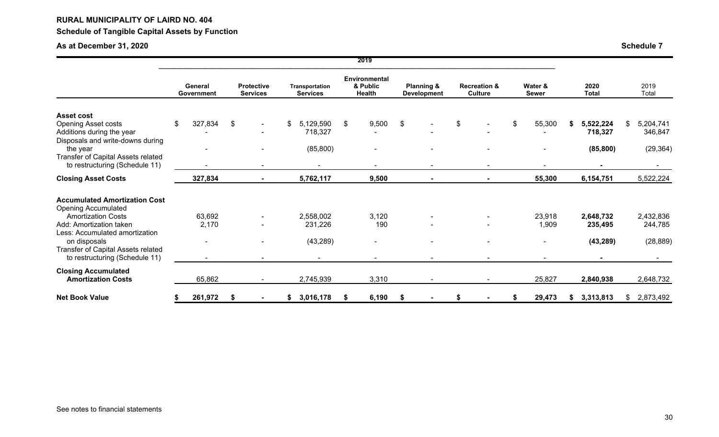# **RURAL MUNICIPALITY OF LAIRD NO. 404 Schedule of Tangible Capital Assets by Function**

# **As at December 31, 2020**

|  | <b>Schedule 7</b> |  |
|--|-------------------|--|
|  |                   |  |

|                                                                                             |                       |    |                                      |                                   | 2019                                              |      |                                             |                                           |                         |    |                             |                            |
|---------------------------------------------------------------------------------------------|-----------------------|----|--------------------------------------|-----------------------------------|---------------------------------------------------|------|---------------------------------------------|-------------------------------------------|-------------------------|----|-----------------------------|----------------------------|
|                                                                                             | General<br>Government |    | <b>Protective</b><br><b>Services</b> | Transportation<br><b>Services</b> | <b>Environmental</b><br>& Public<br><b>Health</b> |      | <b>Planning &amp;</b><br><b>Development</b> | <b>Recreation &amp;</b><br><b>Culture</b> | Water &<br><b>Sewer</b> |    | 2020<br><b>Total</b>        | 2019<br>Total              |
| <b>Asset cost</b>                                                                           |                       |    |                                      |                                   |                                                   |      |                                             |                                           |                         |    |                             |                            |
| <b>Opening Asset costs</b><br>Additions during the year<br>Disposals and write-downs during | \$<br>327,834         | \$ |                                      | 5,129,590<br>\$<br>718,327        | \$<br>9,500                                       | \$   |                                             | \$                                        | \$<br>55,300            |    | 5,522,224<br>718,327        | \$<br>5,204,741<br>346,847 |
| the year<br>Transfer of Capital Assets related<br>to restructuring (Schedule 11)            |                       |    |                                      | (85, 800)                         | $\blacksquare$                                    |      | $\blacksquare$                              | $\blacksquare$                            |                         |    | (85, 800)<br>$\blacksquare$ | (29, 364)<br>$\sim$        |
| <b>Closing Asset Costs</b>                                                                  | 327,834               |    |                                      | 5,762,117                         | 9,500                                             |      |                                             | $\sim$                                    | 55,300                  |    | 6,154,751                   | 5,522,224                  |
| <b>Accumulated Amortization Cost</b>                                                        |                       |    |                                      |                                   |                                                   |      |                                             |                                           |                         |    |                             |                            |
| <b>Opening Accumulated</b><br><b>Amortization Costs</b><br>Add: Amortization taken          | 63,692<br>2,170       |    |                                      | 2,558,002<br>231,226              | 3,120<br>190                                      |      |                                             |                                           | 23,918<br>1,909         |    | 2,648,732<br>235,495        | 2,432,836<br>244,785       |
| Less: Accumulated amortization<br>on disposals                                              |                       |    |                                      | (43, 289)                         |                                                   |      |                                             |                                           |                         |    | (43, 289)                   | (28, 889)                  |
| Transfer of Capital Assets related<br>to restructuring (Schedule 11)                        |                       |    |                                      |                                   |                                                   |      |                                             |                                           |                         |    |                             |                            |
| <b>Closing Accumulated</b><br><b>Amortization Costs</b>                                     | 65,862                |    |                                      | 2,745,939                         | 3,310                                             |      |                                             |                                           | 25,827                  |    | 2,840,938                   | 2,648,732                  |
| <b>Net Book Value</b>                                                                       | 261,972               | S  |                                      | 3,016,178<br>S.                   | 6,190                                             | - \$ |                                             |                                           | 29,473                  | S. | 3,313,813                   | \$<br>2,873,492            |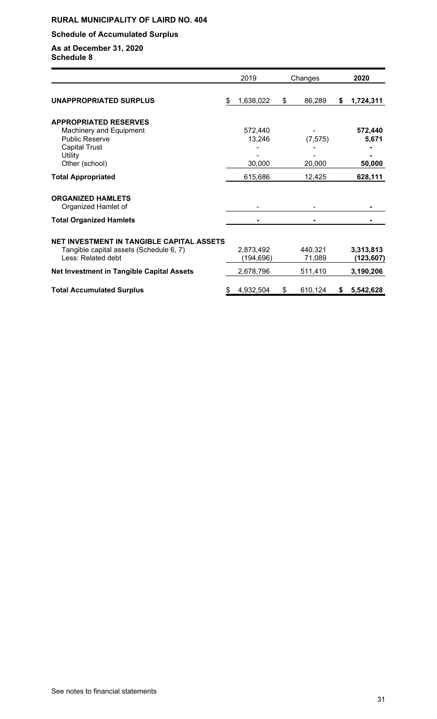# **Schedule of Accumulated Surplus**

**As at December 31, 2020 Schedule 8**

|                                                                                                                   | 2019                   | Changes           | 2020                   |
|-------------------------------------------------------------------------------------------------------------------|------------------------|-------------------|------------------------|
| <b>UNAPPROPRIATED SURPLUS</b>                                                                                     | \$<br>1,638,022        | \$<br>86,289      | \$<br>1,724,311        |
| <b>APPROPRIATED RESERVES</b>                                                                                      |                        |                   |                        |
| Machinery and Equipment<br><b>Public Reserve</b><br><b>Capital Trust</b><br>Utility                               | 572,440<br>13,246      | (7, 575)          | 572,440<br>5,671       |
| Other (school)                                                                                                    | 30,000                 | 20,000            | 50,000                 |
| <b>Total Appropriated</b>                                                                                         | 615,686                | 12,425            | 628,111                |
| <b>ORGANIZED HAMLETS</b><br>Organized Hamlet of                                                                   |                        |                   |                        |
| <b>Total Organized Hamlets</b>                                                                                    |                        |                   |                        |
| <b>NET INVESTMENT IN TANGIBLE CAPITAL ASSETS</b><br>Tangible capital assets (Schedule 6, 7)<br>Less: Related debt | 2,873,492<br>(194,696) | 440,321<br>71,089 | 3,313,813<br>(123,607) |
| <b>Net Investment in Tangible Capital Assets</b>                                                                  | 2,678,796              | 511,410           | 3,190,206              |
| <b>Total Accumulated Surplus</b>                                                                                  | \$<br>4,932,504        | \$<br>610,124     | \$<br>5,542,628        |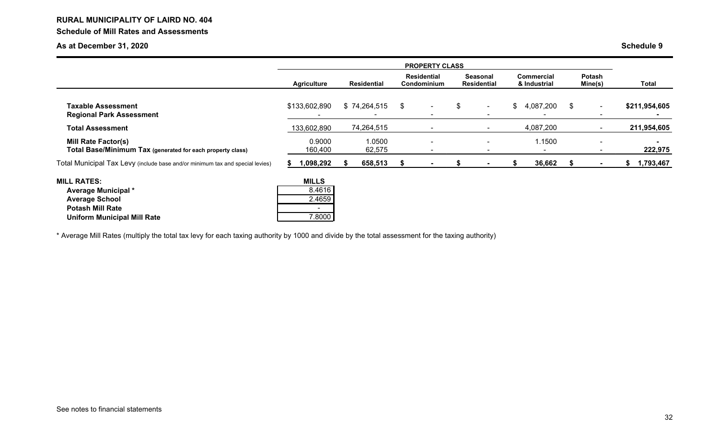# **RURAL MUNICIPALITY OF LAIRD NO. 404 Schedule of Mill Rates and Assessments**

# **As at December 31, 2020 Schedule 9**

|                                                                                                                                            |                                            |                    | <b>PROPERTY CLASS</b>             |                                          |                                   |     |                   |                 |
|--------------------------------------------------------------------------------------------------------------------------------------------|--------------------------------------------|--------------------|-----------------------------------|------------------------------------------|-----------------------------------|-----|-------------------|-----------------|
|                                                                                                                                            | <b>Agriculture</b>                         | <b>Residential</b> | <b>Residential</b><br>Condominium | <b>Seasonal</b><br><b>Residential</b>    | <b>Commercial</b><br>& Industrial |     | Potash<br>Mine(s) | Total           |
| <b>Taxable Assessment</b><br><b>Regional Park Assessment</b>                                                                               | \$133,602,890                              | \$74,264,515       | \$<br>$\sim$                      | \$<br>$\sim$<br>$\overline{\phantom{a}}$ | \$<br>4,087,200                   | \$  | $\sim$            | \$211,954,605   |
| <b>Total Assessment</b>                                                                                                                    | 133,602,890                                | 74,264,515         |                                   | $\sim$                                   | 4,087,200                         |     | $\blacksquare$    | 211,954,605     |
| <b>Mill Rate Factor(s)</b><br>Total Base/Minimum Tax (generated for each property class)                                                   | 0.9000<br>160,400                          | 1.0500<br>62,575   | $\blacksquare$                    | $\blacksquare$                           | 1.1500                            |     |                   | 222,975         |
| Total Municipal Tax Levy (include base and/or minimum tax and special levies)                                                              | 1,098,292<br>SS.                           | 658,513            |                                   | $\blacksquare$                           | 36,662                            | SБ. | $\sim$            | 1,793,467<br>Ж. |
| <b>MILL RATES:</b><br><b>Average Municipal *</b><br><b>Average School</b><br><b>Potash Mill Rate</b><br><b>Uniform Municipal Mill Rate</b> | <b>MILLS</b><br>8.4616<br>2.4659<br>7.8000 |                    |                                   |                                          |                                   |     |                   |                 |

\* Average Mill Rates (multiply the total tax levy for each taxing authority by 1000 and divide by the total assessment for the taxing authority)